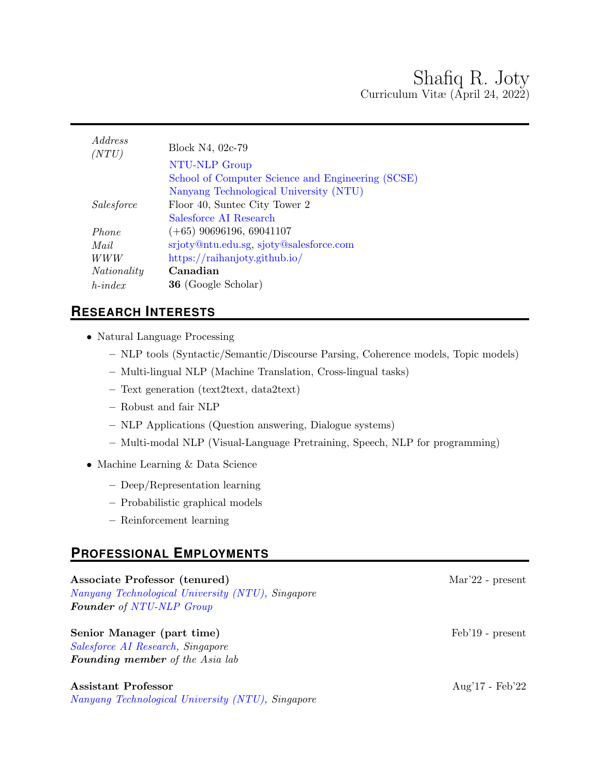| <i>Address</i><br>(NTU) | Block N4, 02c-79                                  |
|-------------------------|---------------------------------------------------|
|                         | NTU-NLP Group                                     |
|                         | School of Computer Science and Engineering (SCSE) |
|                         | Nanyang Technological University (NTU)            |
| Salesforce              | Floor 40, Suntec City Tower 2                     |
|                         | Salesforce AI Research                            |
| Phone                   | $(+65)$ 90696196, 69041107                        |
| Mail                    | srjoty@ntu.edu.sg, sjoty@salesforce.com           |
| WWW                     | https://raihanjoty.github.io/                     |
| Nationality             | Canadian                                          |
| $h$ -index              | <b>36</b> (Google Scholar)                        |
|                         |                                                   |

# **RESEARCH INTERESTS**

- Natural Language Processing
	- NLP tools (Syntactic/Semantic/Discourse Parsing, Coherence models, Topic models)
	- Multi-lingual NLP (Machine Translation, Cross-lingual tasks)
	- Text generation (text2text, data2text)
	- Robust and fair NLP
	- NLP Applications (Question answering, Dialogue systems)
	- Multi-modal NLP (Visual-Language Pretraining, Speech, NLP for programming)
- Machine Learning & Data Science
	- Deep/Representation learning
	- Probabilistic graphical models
	- Reinforcement learning

# **PROFESSIONAL EMPLOYMENTS**

Associate Professor (tenured) Mar'22 - present [Nanyang Technological University \(NTU\),](http://www.ntu.edu.sg/Pages/home.aspx) Singapore Founder of [NTU-NLP Group](https://ntunlpsg.github.io/)

## Senior Manager (part time) Feb'19 - present

[Salesforce AI Research,](https://einstein.ai/research) Singapore Founding member of the Asia lab

## Assistant Professor **Aug'17** - Feb'22

[Nanyang Technological University \(NTU\),](http://www.ntu.edu.sg/Pages/home.aspx) Singapore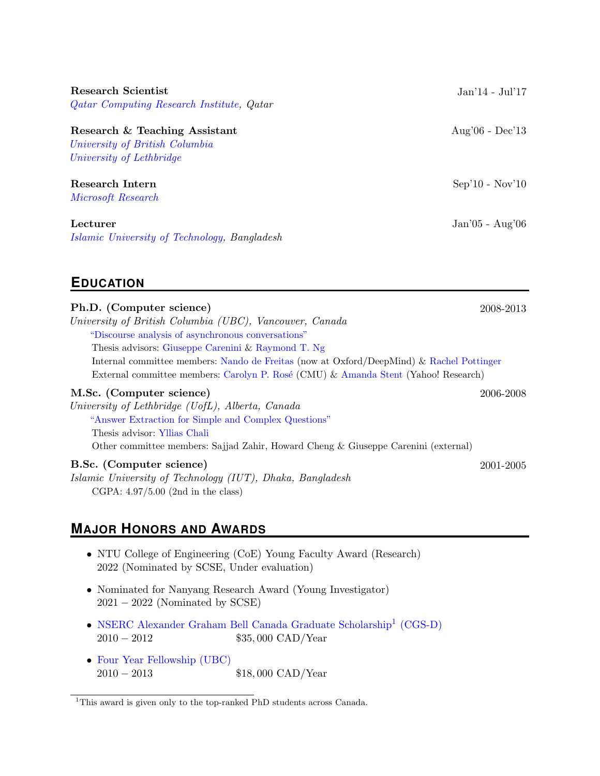| Research & Teaching Assistant  |  |
|--------------------------------|--|
| University of British Columbia |  |
| University of Lethbridge       |  |
|                                |  |

[Qatar Computing Research Institute,](https://www.hbku.edu.qa/en/qcri) Qatar

[Microsoft Research](https://www.microsoft.com/en-us/research/)

[Islamic University of Technology,](https://www.iutoic-dhaka.edu/) Bangladesh

# **EDUCATION**

#### Ph.D. (Computer science) 2008-2013

University of British Columbia (UBC), Vancouver, Canada ["Discourse analysis of asynchronous conversations"](https://open.library.ubc.ca/cIRcle/collections/ubctheses/24/items/1.0165726) Thesis advisors: [Giuseppe Carenini](https://www.cs.ubc.ca/~carenini/) & [Raymond T. Ng](https://www.cs.ubc.ca/~rng/) Internal committee members: [Nando de Freitas](https://www.cs.ox.ac.uk/people/nando.defreitas/) (now at Oxford/DeepMind) & [Rachel Pottinger](http://www.cs.ubc.ca/~rap/) External committee members: Carolyn P. Rosé (CMU) & [Amanda Stent](http://amandastent.com/) (Yahoo! Research)

#### M.Sc. (Computer science) 2006-2008

University of Lethbridge (UofL), Alberta, Canada ["Answer Extraction for Simple and Complex Questions"](https://www.uleth.ca/dspace/handle/10133/666) Thesis advisor: [Yllias Chali](http://www.cs.uleth.ca/~chali/) Other committee members: Sajjad Zahir, Howard Cheng & Giuseppe Carenini (external)

#### B.Sc. (Computer science) 2001-2005

Islamic University of Technology (IUT), Dhaka, Bangladesh CGPA: 4.97/5.00 (2nd in the class)

# **MAJOR HONORS AND AWARDS**

- NTU College of Engineering (CoE) Young Faculty Award (Research) 2022 (Nominated by SCSE, Under evaluation)
- Nominated for Nanyang Research Award (Young Investigator)  $2021 - 2022$  (Nominated by SCSE)
- [NSERC Alexander Graham Bell Canada Graduate Scholarship](http://www.nserc-crsng.gc.ca/Students-Etudiants/PG-CS/BellandPostgrad-BelletSuperieures_eng.asp)<sup>[1](#page-1-0)</sup> (CGS-D) 2010 − 2012 \$35,000 CAD/Year
- [Four Year Fellowship \(UBC\)](https://www.grad.ubc.ca/awards/four-year-doctoral-fellowship-4yf) 2010 − 2013 \$18,000 CAD/Year

Research Scientist Jan'14 - Jul'17

Aug'06 -  $Dec'13$ 

Research Intern Sep'10 - Nov'10

Lecturer Jan'05 - Aug'06

<span id="page-1-0"></span><sup>&</sup>lt;sup>1</sup>This award is given only to the top-ranked PhD students across Canada.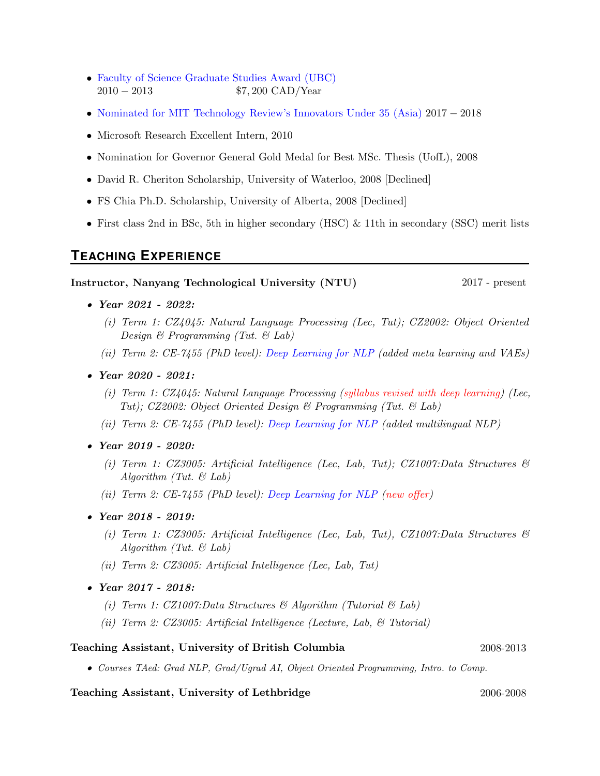- [Faculty of Science Graduate Studies Award \(UBC\)](https://www.grad.ubc.ca/awards/affiliated-fellowships) 2010 − 2013 \$7, 200 CAD/Year
- [Nominated for MIT Technology Review's Innovators Under 35 \(Asia\)](http://emtechasia.com/index.php/innovators-under-35) 2017 − 2018
- Microsoft Research Excellent Intern, 2010
- Nomination for Governor General Gold Medal for Best MSc. Thesis (UofL), 2008
- David R. Cheriton Scholarship, University of Waterloo, 2008 [Declined]
- FS Chia Ph.D. Scholarship, University of Alberta, 2008 [Declined]
- First class 2nd in BSc, 5th in higher secondary (HSC) & 11th in secondary (SSC) merit lists

## **TEACHING EXPERIENCE**

#### Instructor, Nanyang Technological University (NTU) 2017 - present

- Year 2021 2022:
	- (i) Term 1: CZ4045: Natural Language Processing (Lec, Tut); CZ2002: Object Oriented Design  $\mathcal B$  Programming (Tut.  $\mathcal B$  Lab)
	- (ii) Term 2: CE-7455 (PhD level): [Deep Learning for NLP](https://ntunlpsg.github.io/ce7455_deep-nlp-20/) (added meta learning and VAEs)
- Year 2020 2021:
	- (i) Term 1: CZ4045: Natural Language Processing (syllabus revised with deep learning) (Lec, Tut); CZ2002: Object Oriented Design & Programming (Tut. & Lab)
	- (ii) Term 2: CE-7455 (PhD level): [Deep Learning for NLP](https://ntunlpsg.github.io/ce7455_deep-nlp-20/) (added multilingual NLP)
- Year 2019 2020:
	- (i) Term 1: CZ3005: Artificial Intelligence (Lec, Lab, Tut); CZ1007:Data Structures & Algorithm (Tut.  $\mathcal{B}$  Lab)
	- (ii) Term 2: CE-7455 (PhD level): [Deep Learning for NLP](https://ntunlpsg.github.io/ce7455_deep-nlp-20/) (new offer)
- Year 2018 2019:
	- (i) Term 1: CZ3005: Artificial Intelligence (Lec, Lab, Tut), CZ1007:Data Structures  $\mathcal{C}$ Algorithm (Tut.  $\mathcal C$  Lab)
	- (ii) Term 2: CZ3005: Artificial Intelligence (Lec, Lab, Tut)
- Year 2017 2018:
	- (i) Term 1:  $CZ1007$ : Data Structures & Algorithm (Tutorial & Lab)
	- (ii) Term 2: CZ3005: Artificial Intelligence (Lecture, Lab,  $\mathcal{C}$  Tutorial)

#### Teaching Assistant, University of British Columbia 2008-2013

• Courses TAed: Grad NLP, Grad/Ugrad AI, Object Oriented Programming, Intro. to Comp.

#### Teaching Assistant, University of Lethbridge 2006-2008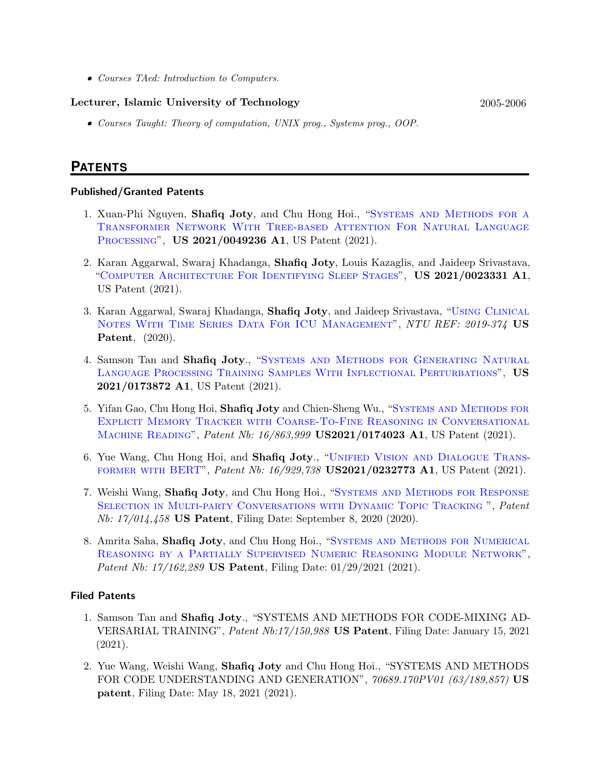• Courses TAed: Introduction to Computers.

#### Lecturer, Islamic University of Technology 2005-2006

• Courses Taught: Theory of computation, UNIX prog., Systems prog., OOP.

## **PATENTS**

#### Published/Granted Patents

- 1. Xuan-Phi Nguyen, Shafiq Joty, and Chu Hong Hoi., "Systems AND METHODS FOR A [Transformer Network With Tree-based Attention For Natural Language](https://patentimages.storage.googleapis.com/86/15/6f/7f6afba904a457/US20210049236A1.pdf) [Processing](https://patentimages.storage.googleapis.com/86/15/6f/7f6afba904a457/US20210049236A1.pdf)", US 2021/0049236 A1, US Patent (2021).
- 2. Karan Aggarwal, Swaraj Khadanga, Shafiq Joty, Louis Kazaglis, and Jaideep Srivastava, "[Computer Architecture For Identifying Sleep Stages](https://patentimages.storage.googleapis.com/c0/d2/b1/940b84d01b8e00/US20210023331A1.pdf)", US 2021/0023331 A1, US Patent (2021).
- 3. Karan Aggarwal, Swaraj Khadanga, Shafiq Joty, and Jaideep Srivastava, "[Using Clinical](https://patents.google.com/patent/US20210375441A1/en) NOTES WITH TIME SERIES DATA FOR ICU MANAGEMENT", NTU REF: 2019-374 US Patent, (2020).
- 4. Samson Tan and Shafiq Joty., "SYSTEMS AND METHODS FOR GENERATING NATURAL [Language Processing Training Samples With Inflectional Perturbations](https://patents.google.com/patent/US20210173872A1/en)", US 2021/0173872 A1, US Patent (2021).
- 5. Yifan Gao, Chu Hong Hoi, Shafiq Joty and Chien-Sheng Wu., "[Systems and Methods for](https://www.freepatentsonline.com/y2021/0174023.html) [Explicit Memory Tracker with Coarse-To-Fine Reasoning in Conversational](https://www.freepatentsonline.com/y2021/0174023.html) MACHINE READING", Patent Nb: 16/863,999 US2021/0174023 A1, US Patent (2021).
- 6. Yue Wang, Chu Hong Hoi, and Shafiq Joty., "[Unified Vision and Dialogue Trans](https://patents.google.com/patent/US20210232773A1/en)[former with BERT](https://patents.google.com/patent/US20210232773A1/en)", Patent Nb: 16/929,738 US2021/0232773 A1, US Patent (2021).
- 7. Weishi Wang, Shafiq Joty, and Chu Hong Hoi., "[Systems and Methods for Response](https://patents.google.com/patent/US20210375280A1/en) SELECTION IN MULTI-PARTY CONVERSATIONS WITH DYNAMIC TOPIC TRACKING ", Patent Nb: 17/014,458 US Patent, Filing Date: September 8, 2020 (2020).
- 8. Amrita Saha, Shafiq Joty, and Chu Hong Hoi., "SYSTEMS AND METHODS FOR NUMERICAL [Reasoning by a Partially Supervised Numeric Reasoning Module Network](https://patents.justia.com/patent/20220108169)", Patent Nb: 17/162,289 US Patent, Filing Date: 01/29/2021 (2021).

#### Filed Patents

- 1. Samson Tan and Shafiq Joty., "SYSTEMS AND METHODS FOR CODE-MIXING AD-VERSARIAL TRAINING", Patent Nb:17/150,988 US Patent, Filing Date: January 15, 2021 (2021).
- 2. Yue Wang, Weishi Wang, Shafiq Joty and Chu Hong Hoi., "SYSTEMS AND METHODS FOR CODE UNDERSTANDING AND GENERATION", 70689.170PV01 (63/189,857) US patent, Filing Date: May 18, 2021 (2021).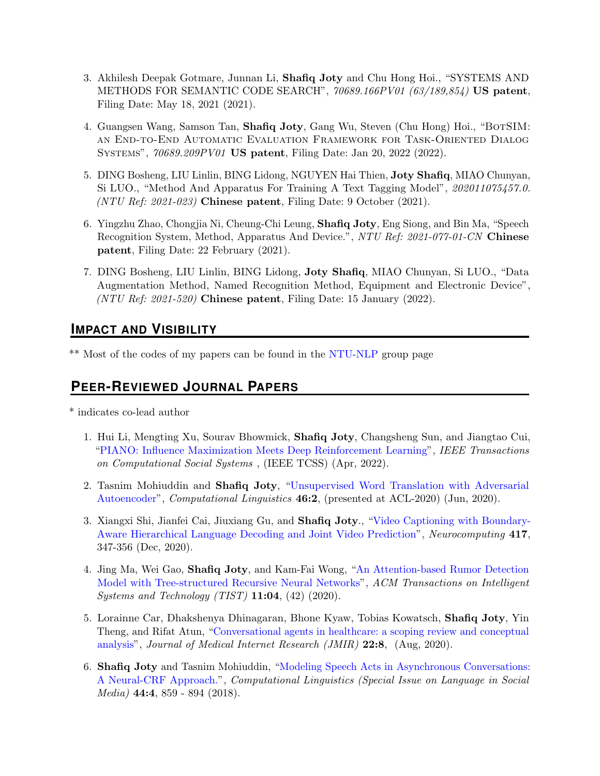- 3. Akhilesh Deepak Gotmare, Junnan Li, Shafiq Joty and Chu Hong Hoi., "SYSTEMS AND METHODS FOR SEMANTIC CODE SEARCH", 70689.166PV01 (63/189,854) US patent, Filing Date: May 18, 2021 (2021).
- 4. Guangsen Wang, Samson Tan, **Shafiq Joty**, Gang Wu, Steven (Chu Hong) Hoi., "BOTSIM: an End-to-End Automatic Evaluation Framework for Task-Oriented Dialog Systems", 70689.209PV01 US patent, Filing Date: Jan 20, 2022 (2022).
- 5. DING Bosheng, LIU Linlin, BING Lidong, NGUYEN Hai Thien, Joty Shafiq, MIAO Chunyan, Si LUO., "Method And Apparatus For Training A Text Tagging Model", 202011075457.0. (NTU Ref: 2021-023) Chinese patent, Filing Date: 9 October (2021).
- 6. Yingzhu Zhao, Chongjia Ni, Cheung-Chi Leung, Shafiq Joty, Eng Siong, and Bin Ma, "Speech Recognition System, Method, Apparatus And Device.", NTU Ref: 2021-077-01-CN Chinese patent, Filing Date: 22 February (2021).
- 7. DING Bosheng, LIU Linlin, BING Lidong, Joty Shafiq, MIAO Chunyan, Si LUO., "Data Augmentation Method, Named Recognition Method, Equipment and Electronic Device", (NTU Ref:  $2021-520$ ) Chinese patent, Filing Date: 15 January (2022).

## **IMPACT AND VISIBILITY**

\*\* Most of the codes of my papers can be found in the [NTU-NLP](https://ntunlpsg.github.io/resources/) group page

# **PEER-REVIEWED JOURNAL PAPERS**

\* indicates co-lead author

- 1. Hui Li, Mengting Xu, Sourav Bhowmick, Shafiq Joty, Changsheng Sun, and Jiangtao Cui, ["PIANO: Influence Maximization Meets Deep Reinforcement Learning"](https://raihanjoty.github.io/papers/li-et-al-piano-ieee-2022.pdf), IEEE Transactions on Computational Social Systems , (IEEE TCSS) (Apr, 2022).
- 2. Tasnim Mohiuddin and Shafiq Joty, ["Unsupervised Word Translation with Adversarial](https://www.mitpressjournals.org/doi/abs/10.1162/COLI_a_00374?mobileUi=0) [Autoencoder"](https://www.mitpressjournals.org/doi/abs/10.1162/COLI_a_00374?mobileUi=0), Computational Linguistics 46:2, (presented at ACL-2020) (Jun, 2020).
- 3. Xiangxi Shi, Jianfei Cai, Jiuxiang Gu, and Shafiq Joty., ["Video Captioning with Boundary-](https://www.sciencedirect.com/science/article/abs/pii/S0925231220313023)[Aware Hierarchical Language Decoding and Joint Video Prediction"](https://www.sciencedirect.com/science/article/abs/pii/S0925231220313023), Neurocomputing 417, 347-356 (Dec, 2020).
- 4. Jing Ma, Wei Gao, Shafiq Joty, and Kam-Fai Wong, ["An Attention-based Rumor Detection](https://dl.acm.org/doi/abs/10.1145/3391250) [Model with Tree-structured Recursive Neural Networks"](https://dl.acm.org/doi/abs/10.1145/3391250), ACM Transactions on Intelligent Systems and Technology (TIST)  $11:04$ , (42) (2020).
- 5. Lorainne Car, Dhakshenya Dhinagaran, Bhone Kyaw, Tobias Kowatsch, Shafiq Joty, Yin Theng, and Rifat Atun, ["Conversational agents in healthcare: a scoping review and conceptual](https://www.jmir.org/2020/8/e17158/) [analysis"](https://www.jmir.org/2020/8/e17158/), Journal of Medical Internet Research (JMIR) 22:8, (Aug, 2020).
- 6. Shafiq Joty and Tasnim Mohiuddin, ["Modeling Speech Acts in Asynchronous Conversations:](https://www.mitpressjournals.org/doi/abs/10.1162/coli_a_00339) [A Neural-CRF Approach."](https://www.mitpressjournals.org/doi/abs/10.1162/coli_a_00339), Computational Linguistics (Special Issue on Language in Social Media) 44:4, 859 - 894 (2018).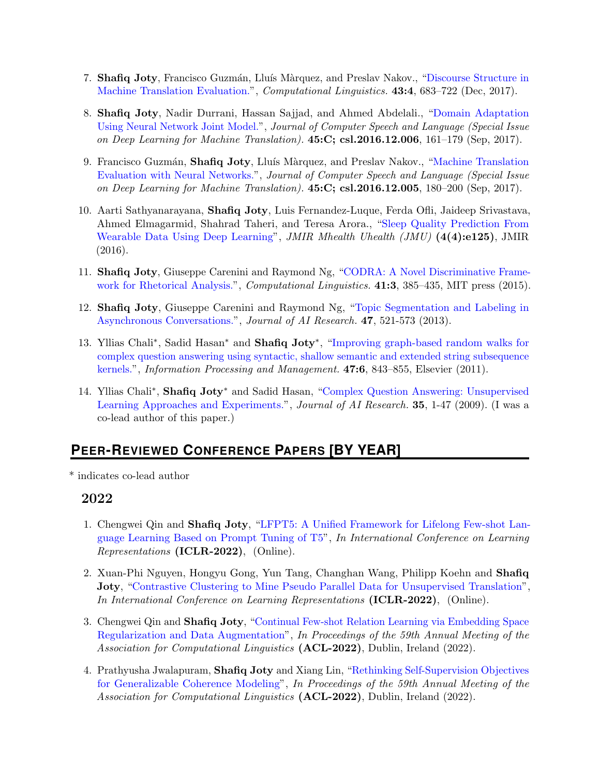- 7. Shafiq Joty, Francisco Guzmán, Lluís Màrquez, and Preslav Nakov., ["Discourse Structure in](https://www.mitpressjournals.org/doi/abs/10.1162/COLI_a_00298) [Machine Translation Evaluation."](https://www.mitpressjournals.org/doi/abs/10.1162/COLI_a_00298), *Computational Linguistics.* **43:4**, 683–722 (Dec, 2017).
- 8. Shafiq Joty, Nadir Durrani, Hassan Sajjad, and Ahmed Abdelali., ["Domain Adaptation](https://dl.acm.org/citation.cfm?id=3103742) [Using Neural Network Joint Model."](https://dl.acm.org/citation.cfm?id=3103742), Journal of Computer Speech and Language (Special Issue on Deep Learning for Machine Translation).  $45:C$ ; csl.2016.12.006, 161–179 (Sep, 2017).
- 9. Francisco Guzmán, Shafiq Joty, Lluís Màrquez, and Preslav Nakov., ["Machine Translation](https://dl.acm.org/citation.cfm?id=3103743) [Evaluation with Neural Networks."](https://dl.acm.org/citation.cfm?id=3103743), Journal of Computer Speech and Language (Special Issue on Deep Learning for Machine Translation).  $45:C$ ; csl.2016.12.005, 180–200 (Sep, 2017).
- 10. Aarti Sathyanarayana, Shafiq Joty, Luis Fernandez-Luque, Ferda Ofli, Jaideep Srivastava, Ahmed Elmagarmid, Shahrad Taheri, and Teresa Arora., ["Sleep Quality Prediction From](http://mhealth.jmir.org/2016/4/e125/) [Wearable Data Using Deep Learning"](http://mhealth.jmir.org/2016/4/e125/), JMIR Mhealth Uhealth (JMU) (4(4):e125), JMIR (2016).
- 11. Shafiq Joty, Giuseppe Carenini and Raymond Ng, ["CODRA: A Novel Discriminative Frame](http://www.mitpressjournals.org/doi/abs/10.1162/COLI_a_00226#.VloBH8YgjBE)[work for Rhetorical Analysis."](http://www.mitpressjournals.org/doi/abs/10.1162/COLI_a_00226#.VloBH8YgjBE), *Computational Linguistics.* 41:3, 385-435, MIT press (2015).
- 12. Shafiq Joty, Giuseppe Carenini and Raymond Ng, ["Topic Segmentation and Labeling in](https://www.jair.org/media/3940/live-3940-7166-jair.pdf) [Asynchronous Conversations."](https://www.jair.org/media/3940/live-3940-7166-jair.pdf), Journal of AI Research. 47, 521-573 (2013).
- 13. Yllias Chali<sup>\*</sup>, Sadid Hasan<sup>\*</sup> and **Shafiq Joty**<sup>\*</sup>, ["Improving graph-based random walks for](http://www.sciencedirect.com/science/article/pii/S0306457310000877) [complex question answering using syntactic, shallow semantic and extended string subsequence](http://www.sciencedirect.com/science/article/pii/S0306457310000877) [kernels."](http://www.sciencedirect.com/science/article/pii/S0306457310000877), Information Processing and Management. 47:6, 843–855, Elsevier (2011).
- 14. Yllias Chali<sup>\*</sup>, Shafiq Joty<sup>\*</sup> and Sadid Hasan, ["Complex Question Answering: Unsupervised](https://www.jair.org/media/2784/live-2784-4446-jair.pdf) [Learning Approaches and Experiments."](https://www.jair.org/media/2784/live-2784-4446-jair.pdf), Journal of AI Research. 35, 1-47 (2009). (I was a co-lead author of this paper.)

# **PEER-REVIEWED CONFERENCE PAPERS [BY YEAR]**

\* indicates co-lead author

- 1. Chengwei Qin and Shafiq Joty, ["LFPT5: A Unified Framework for Lifelong Few-shot Lan](https://openreview.net/pdf?id=HCRVf71PMF)[guage Learning Based on Prompt Tuning of T5"](https://openreview.net/pdf?id=HCRVf71PMF), In International Conference on Learning Representations (ICLR-2022), (Online).
- 2. Xuan-Phi Nguyen, Hongyu Gong, Yun Tang, Changhan Wang, Philipp Koehn and Shafiq Joty, ["Contrastive Clustering to Mine Pseudo Parallel Data for Unsupervised Translation"](https://openreview.net/pdf?id=pN1JOdrSY9), In International Conference on Learning Representations (ICLR-2022), (Online).
- 3. Chengwei Qin and Shafiq Joty, ["Continual Few-shot Relation Learning via Embedding Space](https://openreview.net/forum?id=tN-UlSrCBgM) [Regularization and Data Augmentation"](https://openreview.net/forum?id=tN-UlSrCBgM), In Proceedings of the 59th Annual Meeting of the Association for Computational Linguistics (**ACL-2022**), Dublin, Ireland (2022).
- 4. Prathyusha Jwalapuram, Shafiq Joty and Xiang Lin, ["Rethinking Self-Supervision Objectives](https://arxiv.org/abs/2110.07198) [for Generalizable Coherence Modeling"](https://arxiv.org/abs/2110.07198), In Proceedings of the 59th Annual Meeting of the Association for Computational Linguistics (ACL-2022), Dublin, Ireland (2022).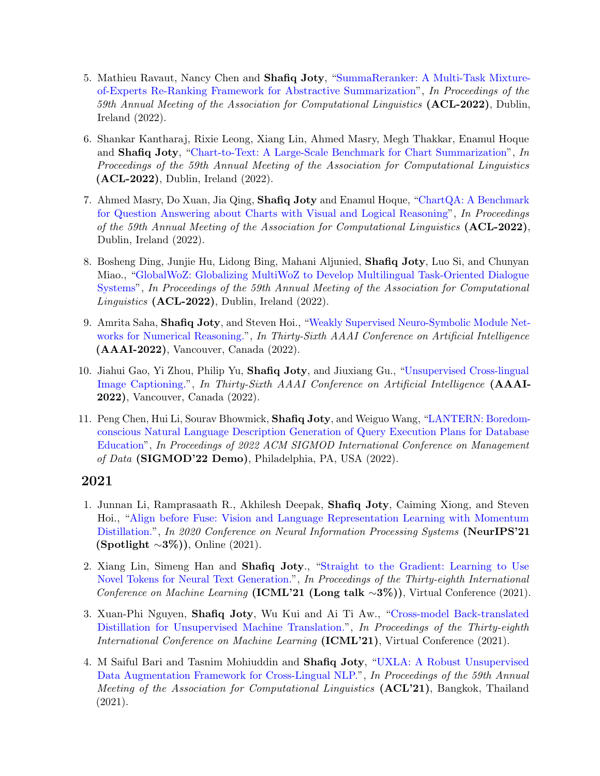- 5. Mathieu Ravaut, Nancy Chen and Shafiq Joty, ["SummaReranker: A Multi-Task Mixture](https://openreview.net/forum?id=HT9x1moobfz)[of-Experts Re-Ranking Framework for Abstractive Summarization"](https://openreview.net/forum?id=HT9x1moobfz), In Proceedings of the 59th Annual Meeting of the Association for Computational Linguistics (ACL-2022), Dublin, Ireland (2022).
- 6. Shankar Kantharaj, Rixie Leong, Xiang Lin, Ahmed Masry, Megh Thakkar, Enamul Hoque and Shafiq Joty, ["Chart-to-Text: A Large-Scale Benchmark for Chart Summarization"](https://openreview.net/forum?id=IzDcuVlie4l), In Proceedings of the 59th Annual Meeting of the Association for Computational Linguistics (ACL-2022), Dublin, Ireland (2022).
- 7. Ahmed Masry, Do Xuan, Jia Qing, Shafiq Joty and Enamul Hoque, ["ChartQA: A Benchmark](https://openreview.net/forum?id=_oEeeZiOrV4) [for Question Answering about Charts with Visual and Logical Reasoning"](https://openreview.net/forum?id=_oEeeZiOrV4), In Proceedings of the 59th Annual Meeting of the Association for Computational Linguistics (ACL-2022), Dublin, Ireland (2022).
- 8. Bosheng Ding, Junjie Hu, Lidong Bing, Mahani Aljunied, Shafiq Joty, Luo Si, and Chunyan Miao., ["GlobalWoZ: Globalizing MultiWoZ to Develop Multilingual Task-Oriented Dialogue](https://openreview.net/forum?id=3GilrFL7aU7) [Systems"](https://openreview.net/forum?id=3GilrFL7aU7), In Proceedings of the 59th Annual Meeting of the Association for Computational Linguistics (ACL-2022), Dublin, Ireland (2022).
- 9. Amrita Saha, Shafiq Joty, and Steven Hoi., ["Weakly Supervised Neuro-Symbolic Module Net](https://arxiv.org/pdf/2101.11802.pdf)[works for Numerical Reasoning."](https://arxiv.org/pdf/2101.11802.pdf), In Thirty-Sixth AAAI Conference on Artificial Intelligence (AAAI-2022), Vancouver, Canada (2022).
- 10. Jiahui Gao, Yi Zhou, Philip Yu, Shafiq Joty, and Jiuxiang Gu., ["Unsupervised Cross-lingual](https://arxiv.org/abs/2010.01288) [Image Captioning."](https://arxiv.org/abs/2010.01288), In Thirty-Sixth AAAI Conference on Artificial Intelligence (AAAI-2022), Vancouver, Canada (2022).
- 11. Peng Chen, Hui Li, Sourav Bhowmick, Shafiq Joty, and Weiguo Wang, ["LANTERN: Boredom](https://raihanjoty.github.io/papers/chen-et-al-sigmod-22-demo.pdf)[conscious Natural Language Description Generation of Query Execution Plans for Database](https://raihanjoty.github.io/papers/chen-et-al-sigmod-22-demo.pdf) [Education"](https://raihanjoty.github.io/papers/chen-et-al-sigmod-22-demo.pdf), In Proceedings of 2022 ACM SIGMOD International Conference on Management of Data (SIGMOD'22 Demo), Philadelphia, PA, USA (2022).

- 1. Junnan Li, Ramprasaath R., Akhilesh Deepak, Shafiq Joty, Caiming Xiong, and Steven Hoi., ["Align before Fuse: Vision and Language Representation Learning with Momentum](https://arxiv.org/abs/2107.07651) [Distillation."](https://arxiv.org/abs/2107.07651), In 2020 Conference on Neural Information Processing Systems (NeurIPS'21 (Spotlight  $\sim 3\%)$ ), Online (2021).
- 2. Xiang Lin, Simeng Han and Shafiq Joty., ["Straight to the Gradient: Learning to Use](http://proceedings.mlr.press/v139/lin21b.html) [Novel Tokens for Neural Text Generation."](http://proceedings.mlr.press/v139/lin21b.html), In Proceedings of the Thirty-eighth International Conference on Machine Learning (ICML'21 (Long talk ∼3%)), Virtual Conference (2021).
- 3. Xuan-Phi Nguyen, Shafiq Joty, Wu Kui and Ai Ti Aw., ["Cross-model Back-translated](http://proceedings.mlr.press/v139/nguyen21c/nguyen21c.pdf) [Distillation for Unsupervised Machine Translation."](http://proceedings.mlr.press/v139/nguyen21c/nguyen21c.pdf), In Proceedings of the Thirty-eighth International Conference on Machine Learning (ICML'21), Virtual Conference (2021).
- 4. M Saiful Bari and Tasnim Mohiuddin and Shafiq Joty, ["UXLA: A Robust Unsupervised](https://aclanthology.org/2021.acl-long.154/) [Data Augmentation Framework for Cross-Lingual NLP."](https://aclanthology.org/2021.acl-long.154/), In Proceedings of the 59th Annual Meeting of the Association for Computational Linguistics (ACL'21), Bangkok, Thailand (2021).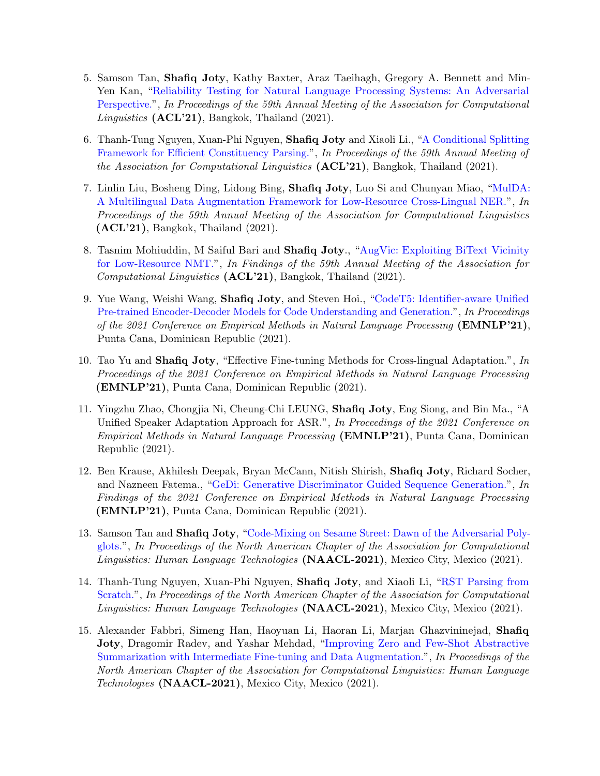- 5. Samson Tan, Shafiq Joty, Kathy Baxter, Araz Taeihagh, Gregory A. Bennett and Min-Yen Kan, ["Reliability Testing for Natural Language Processing Systems: An Adversarial](https://aclanthology.org/2021.acl-long.321/) [Perspective."](https://aclanthology.org/2021.acl-long.321/), In Proceedings of the 59th Annual Meeting of the Association for Computational Linguistics (ACL'21), Bangkok, Thailand (2021).
- 6. Thanh-Tung Nguyen, Xuan-Phi Nguyen, Shafiq Joty and Xiaoli Li., ["A Conditional Splitting](https://aclanthology.org/2021.acl-long.450/) [Framework for Efficient Constituency Parsing."](https://aclanthology.org/2021.acl-long.450/), In Proceedings of the 59th Annual Meeting of the Association for Computational Linguistics  $(ACL'21)$ , Bangkok, Thailand (2021).
- 7. Linlin Liu, Bosheng Ding, Lidong Bing, Shafiq Joty, Luo Si and Chunyan Miao, ["MulDA:](https://aclanthology.org/2021.acl-long.453/) [A Multilingual Data Augmentation Framework for Low-Resource Cross-Lingual NER."](https://aclanthology.org/2021.acl-long.453/), In Proceedings of the 59th Annual Meeting of the Association for Computational Linguistics (ACL'21), Bangkok, Thailand (2021).
- 8. Tasnim Mohiuddin, M Saiful Bari and Shafiq Joty., ["AugVic: Exploiting BiText Vicinity](https://arxiv.org/abs/2106.05141) [for Low-Resource NMT."](https://arxiv.org/abs/2106.05141), In Findings of the 59th Annual Meeting of the Association for Computational Linguistics (ACL'21), Bangkok, Thailand (2021).
- 9. Yue Wang, Weishi Wang, Shafiq Joty, and Steven Hoi., ["CodeT5: Identifier-aware Unified](https://arxiv.org/abs/2109.00859) [Pre-trained Encoder-Decoder Models for Code Understanding and Generation."](https://arxiv.org/abs/2109.00859), In Proceedings of the 2021 Conference on Empirical Methods in Natural Language Processing (EMNLP'21), Punta Cana, Dominican Republic (2021).
- 10. Tao Yu and Shafiq Joty, "Effective Fine-tuning Methods for Cross-lingual Adaptation.", In Proceedings of the 2021 Conference on Empirical Methods in Natural Language Processing (EMNLP'21), Punta Cana, Dominican Republic (2021).
- 11. Yingzhu Zhao, Chongjia Ni, Cheung-Chi LEUNG, Shafiq Joty, Eng Siong, and Bin Ma., "A Unified Speaker Adaptation Approach for ASR.", In Proceedings of the 2021 Conference on Empirical Methods in Natural Language Processing (EMNLP'21), Punta Cana, Dominican Republic (2021).
- 12. Ben Krause, Akhilesh Deepak, Bryan McCann, Nitish Shirish, Shafiq Joty, Richard Socher, and Nazneen Fatema., ["GeDi: Generative Discriminator Guided Sequence Generation."](https://arxiv.org/pdf/2009.06367.pdf), In Findings of the 2021 Conference on Empirical Methods in Natural Language Processing (EMNLP'21), Punta Cana, Dominican Republic (2021).
- 13. Samson Tan and Shafiq Joty, ["Code-Mixing on Sesame Street: Dawn of the Adversarial Poly](https://aclanthology.org/2021.naacl-main.282.pdf)[glots."](https://aclanthology.org/2021.naacl-main.282.pdf), In Proceedings of the North American Chapter of the Association for Computational Linguistics: Human Language Technologies (NAACL-2021), Mexico City, Mexico (2021).
- 14. Thanh-Tung Nguyen, Xuan-Phi Nguyen, Shafiq Joty, and Xiaoli Li, ["RST Parsing from](https://aclanthology.org/2021.naacl-main.128.pdf) [Scratch."](https://aclanthology.org/2021.naacl-main.128.pdf), In Proceedings of the North American Chapter of the Association for Computational Linguistics: Human Language Technologies (NAACL-2021), Mexico City, Mexico (2021).
- 15. Alexander Fabbri, Simeng Han, Haoyuan Li, Haoran Li, Marjan Ghazvininejad, Shafiq Joty, Dragomir Radev, and Yashar Mehdad, ["Improving Zero and Few-Shot Abstractive](https://arxiv.org/abs/2010.12836) [Summarization with Intermediate Fine-tuning and Data Augmentation."](https://arxiv.org/abs/2010.12836), In Proceedings of the North American Chapter of the Association for Computational Linguistics: Human Language Technologies (NAACL-2021), Mexico City, Mexico (2021).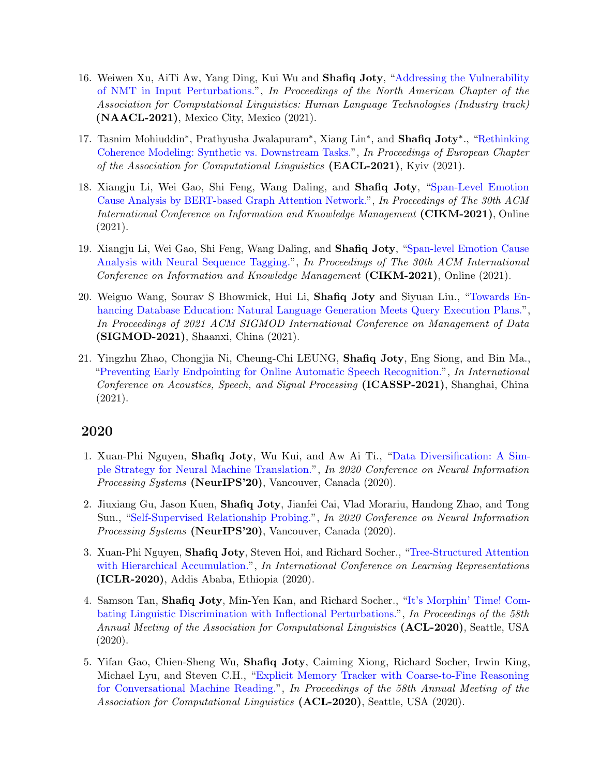- 16. Weiwen Xu, AiTi Aw, Yang Ding, Kui Wu and Shafiq Joty, ["Addressing the Vulnerability](https://aclanthology.org/2021.naacl-industry.11.pdf) [of NMT in Input Perturbations."](https://aclanthology.org/2021.naacl-industry.11.pdf), In Proceedings of the North American Chapter of the Association for Computational Linguistics: Human Language Technologies (Industry track) (NAACL-2021), Mexico City, Mexico (2021).
- 17. Tasnim Mohiuddin<sup>\*</sup>, Prathyusha Jwalapuram<sup>\*</sup>, Xiang Lin<sup>\*</sup>, and Shafiq Joty<sup>\*</sup>., ["Rethinking](https://aclanthology.org/2021.eacl-main.308.pdf) [Coherence Modeling: Synthetic vs. Downstream Tasks."](https://aclanthology.org/2021.eacl-main.308.pdf), In Proceedings of European Chapter of the Association for Computational Linguistics (EACL-2021), Kyiv (2021).
- 18. Xiangju Li, Wei Gao, Shi Feng, Wang Daling, and Shafiq Joty, ["Span-Level Emotion](https://www.cikm2021.org/accepted-papers) [Cause Analysis by BERT-based Graph Attention Network."](https://www.cikm2021.org/accepted-papers), In Proceedings of The 30th ACM International Conference on Information and Knowledge Management (CIKM-2021), Online (2021).
- 19. Xiangju Li, Wei Gao, Shi Feng, Wang Daling, and Shafiq Joty, ["Span-level Emotion Cause](https://www.cikm2021.org/accepted-papers) [Analysis with Neural Sequence Tagging."](https://www.cikm2021.org/accepted-papers), In Proceedings of The 30th ACM International Conference on Information and Knowledge Management (CIKM-2021), Online (2021).
- 20. Weiguo Wang, Sourav S Bhowmick, Hui Li, Shafiq Joty and Siyuan Liu., ["Towards En](https://dl.acm.org/doi/10.1145/3448016.3452822)[hancing Database Education: Natural Language Generation Meets Query Execution Plans."](https://dl.acm.org/doi/10.1145/3448016.3452822), In Proceedings of 2021 ACM SIGMOD International Conference on Management of Data (SIGMOD-2021), Shaanxi, China (2021).
- 21. Yingzhu Zhao, Chongjia Ni, Cheung-Chi LEUNG, Shafiq Joty, Eng Siong, and Bin Ma., ["Preventing Early Endpointing for Online Automatic Speech Recognition."](https://ieeexplore.ieee.org/document/9413613), In International Conference on Acoustics, Speech, and Signal Processing (ICASSP-2021), Shanghai, China (2021).

- 1. Xuan-Phi Nguyen, Shafiq Joty, Wu Kui, and Aw Ai Ti., ["Data Diversification: A Sim](https://proceedings.neurips.cc//paper/2020/file/7221e5c8ec6b08ef6d3f9ff3ce6eb1d1-Paper.pdf)[ple Strategy for Neural Machine Translation."](https://proceedings.neurips.cc//paper/2020/file/7221e5c8ec6b08ef6d3f9ff3ce6eb1d1-Paper.pdf), In 2020 Conference on Neural Information Processing Systems (NeurIPS'20), Vancouver, Canada (2020).
- 2. Jiuxiang Gu, Jason Kuen, Shafiq Joty, Jianfei Cai, Vlad Morariu, Handong Zhao, and Tong Sun., ["Self-Supervised Relationship Probing."](https://papers.nips.cc/paper/2020/file/13f320e7b5ead1024ac95c3b208610db-Paper.pdf), In 2020 Conference on Neural Information Processing Systems (NeurIPS'20), Vancouver, Canada (2020).
- 3. Xuan-Phi Nguyen, Shafiq Joty, Steven Hoi, and Richard Socher., ["Tree-Structured Attention](https://openreview.net/forum?id=HJxK5pEYvr) [with Hierarchical Accumulation."](https://openreview.net/forum?id=HJxK5pEYvr), In International Conference on Learning Representations (ICLR-2020), Addis Ababa, Ethiopia (2020).
- 4. Samson Tan, Shafiq Joty, Min-Yen Kan, and Richard Socher., ["It's Morphin' Time! Com](https://arxiv.org/abs/2005.04364)[bating Linguistic Discrimination with Inflectional Perturbations."](https://arxiv.org/abs/2005.04364), In Proceedings of the 58th Annual Meeting of the Association for Computational Linguistics (ACL-2020), Seattle, USA (2020).
- 5. Yifan Gao, Chien-Sheng Wu, Shafiq Joty, Caiming Xiong, Richard Socher, Irwin King, Michael Lyu, and Steven C.H., ["Explicit Memory Tracker with Coarse-to-Fine Reasoning](https://arxiv.org/abs/2005.12484) [for Conversational Machine Reading."](https://arxiv.org/abs/2005.12484), In Proceedings of the 58th Annual Meeting of the Association for Computational Linguistics (ACL-2020), Seattle, USA (2020).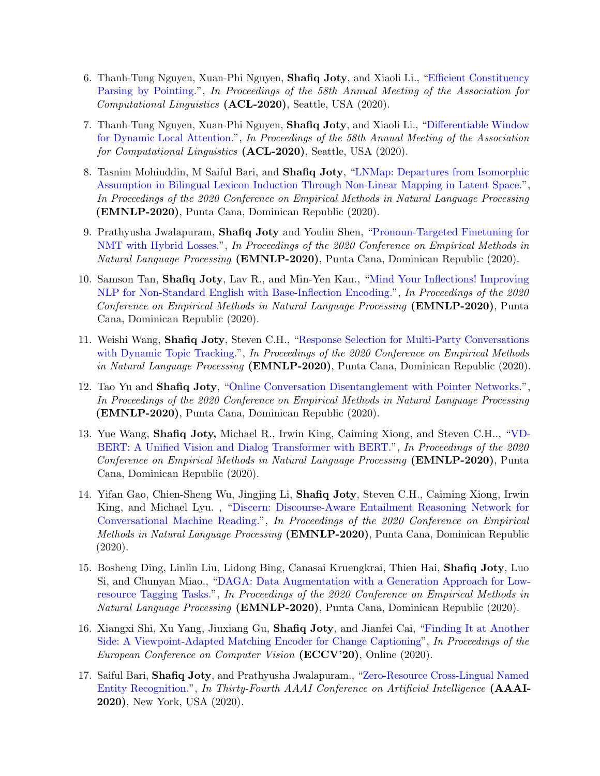- 6. Thanh-Tung Nguyen, Xuan-Phi Nguyen, Shafiq Joty, and Xiaoli Li., ["Efficient Constituency](https://oar.a-star.edu.sg/jspui/bitstream/123456789/4064/1/_ACL20__CR_Efficient_Constituency_Parsing_by_Pointing.pdf) [Parsing by Pointing."](https://oar.a-star.edu.sg/jspui/bitstream/123456789/4064/1/_ACL20__CR_Efficient_Constituency_Parsing_by_Pointing.pdf), In Proceedings of the 58th Annual Meeting of the Association for Computational Linguistics (ACL-2020), Seattle, USA (2020).
- 7. Thanh-Tung Nguyen, Xuan-Phi Nguyen, Shafiq Joty, and Xiaoli Li., ["Differentiable Window](https://oar.a-star.edu.sg/jspui/bitstream/123456789/4063/1/_ACL_20__CR_Differentiable_Window_for_Dynamic_Local_Attention.pdf) [for Dynamic Local Attention."](https://oar.a-star.edu.sg/jspui/bitstream/123456789/4063/1/_ACL_20__CR_Differentiable_Window_for_Dynamic_Local_Attention.pdf), In Proceedings of the 58th Annual Meeting of the Association for Computational Linguistics (ACL-2020), Seattle, USA (2020).
- 8. Tasnim Mohiuddin, M Saiful Bari, and Shafiq Joty, ["LNMap: Departures from Isomorphic](https://arxiv.org/abs/2004.13889) [Assumption in Bilingual Lexicon Induction Through Non-Linear Mapping in Latent Space."](https://arxiv.org/abs/2004.13889), In Proceedings of the 2020 Conference on Empirical Methods in Natural Language Processing (EMNLP-2020), Punta Cana, Dominican Republic (2020).
- 9. Prathyusha Jwalapuram, Shafiq Joty and Youlin Shen, ["Pronoun-Targeted Finetuning for](https://arxiv.org/abs/2010.07638) [NMT with Hybrid Losses."](https://arxiv.org/abs/2010.07638), In Proceedings of the 2020 Conference on Empirical Methods in Natural Language Processing (EMNLP-2020), Punta Cana, Dominican Republic (2020).
- 10. Samson Tan, Shafiq Joty, Lav R., and Min-Yen Kan., ["Mind Your Inflections! Improving](https://arxiv.org/abs/2004.14870) [NLP for Non-Standard English with Base-Inflection Encoding."](https://arxiv.org/abs/2004.14870), In Proceedings of the 2020 Conference on Empirical Methods in Natural Language Processing (EMNLP-2020), Punta Cana, Dominican Republic (2020).
- 11. Weishi Wang, Shafiq Joty, Steven C.H., ["Response Selection for Multi-Party Conversations](https://arxiv.org/abs/2010.07785) [with Dynamic Topic Tracking."](https://arxiv.org/abs/2010.07785), In Proceedings of the 2020 Conference on Empirical Methods in Natural Language Processing (EMNLP-2020), Punta Cana, Dominican Republic (2020).
- 12. Tao Yu and Shafiq Joty, ["Online Conversation Disentanglement with Pointer Networks."](https://arxiv.org/pdf/2010.11080.pdf), In Proceedings of the 2020 Conference on Empirical Methods in Natural Language Processing (EMNLP-2020), Punta Cana, Dominican Republic (2020).
- 13. Yue Wang, Shafiq Joty, Michael R., Irwin King, Caiming Xiong, and Steven C.H.., ["VD-](https://arxiv.org/abs/2004.13278)[BERT: A Unified Vision and Dialog Transformer with BERT."](https://arxiv.org/abs/2004.13278), In Proceedings of the 2020 Conference on Empirical Methods in Natural Language Processing (EMNLP-2020), Punta Cana, Dominican Republic (2020).
- 14. Yifan Gao, Chien-Sheng Wu, Jingjing Li, Shafiq Joty, Steven C.H., Caiming Xiong, Irwin King, and Michael Lyu. , ["Discern: Discourse-Aware Entailment Reasoning Network for](https://arxiv.org/abs/2010.01838) [Conversational Machine Reading."](https://arxiv.org/abs/2010.01838), In Proceedings of the 2020 Conference on Empirical Methods in Natural Language Processing (EMNLP-2020), Punta Cana, Dominican Republic (2020).
- 15. Bosheng Ding, Linlin Liu, Lidong Bing, Canasai Kruengkrai, Thien Hai, Shafiq Joty, Luo Si, and Chunyan Miao., ["DAGA: Data Augmentation with a Generation Approach for Low](https://aclanthology.org/2020.emnlp-main.488.pdf)[resource Tagging Tasks."](https://aclanthology.org/2020.emnlp-main.488.pdf), In Proceedings of the 2020 Conference on Empirical Methods in Natural Language Processing (EMNLP-2020), Punta Cana, Dominican Republic (2020).
- 16. Xiangxi Shi, Xu Yang, Jiuxiang Gu, Shafiq Joty, and Jianfei Cai, ["Finding It at Another](https://arxiv.org/abs/2009.14352) [Side: A Viewpoint-Adapted Matching Encoder for Change Captioning"](https://arxiv.org/abs/2009.14352), In Proceedings of the European Conference on Computer Vision (ECCV'20), Online (2020).
- 17. Saiful Bari, Shafiq Joty, and Prathyusha Jwalapuram., ["Zero-Resource Cross-Lingual Named](https://arxiv.org/abs/1911.09812) [Entity Recognition."](https://arxiv.org/abs/1911.09812), In Thirty-Fourth AAAI Conference on Artificial Intelligence (AAAI-2020), New York, USA (2020).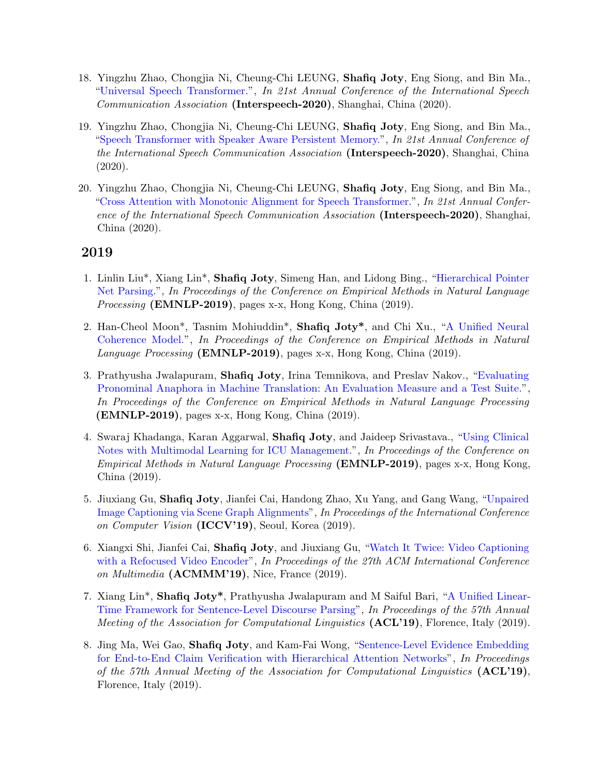- 18. Yingzhu Zhao, Chongjia Ni, Cheung-Chi LEUNG, Shafiq Joty, Eng Siong, and Bin Ma., ["Universal Speech Transformer."](http://www.interspeech2020.org/index.php?m=content&c=index&a=show&catid=418&id=1328), In 21st Annual Conference of the International Speech Communication Association (Interspeech-2020), Shanghai, China (2020).
- 19. Yingzhu Zhao, Chongjia Ni, Cheung-Chi LEUNG, Shafiq Joty, Eng Siong, and Bin Ma., ["Speech Transformer with Speaker Aware Persistent Memory."](https://indico2.conference4me.psnc.pl/event/35/contributions/3110/attachments/650/681/Mon-3-7-4.pdf), In 21st Annual Conference of the International Speech Communication Association (Interspeech-2020), Shanghai, China (2020).
- 20. Yingzhu Zhao, Chongjia Ni, Cheung-Chi LEUNG, Shafiq Joty, Eng Siong, and Bin Ma., ["Cross Attention with Monotonic Alignment for Speech Transformer."](https://indico2.conference4me.psnc.pl/event/35/contributions/3935/attachments/977/1016/Thu-3-10-8.pdf), In 21st Annual Conference of the International Speech Communication Association (Interspeech-2020), Shanghai, China (2020).

- 1. Linlin Liu\*, Xiang Lin\*, Shafiq Joty, Simeng Han, and Lidong Bing., ["Hierarchical Pointer](https://arxiv.org/abs/1908.11571) [Net Parsing."](https://arxiv.org/abs/1908.11571), In Proceedings of the Conference on Empirical Methods in Natural Language Processing (EMNLP-2019), pages x-x, Hong Kong, China (2019).
- 2. Han-Cheol Moon\*, Tasnim Mohiuddin\*, Shafiq Joty\*, and Chi Xu., ["A Unified Neural](https://arxiv.org/abs/1909.00349) [Coherence Model."](https://arxiv.org/abs/1909.00349), In Proceedings of the Conference on Empirical Methods in Natural Language Processing (**EMNLP-2019**), pages x-x, Hong Kong, China (2019).
- 3. Prathyusha Jwalapuram, Shafiq Joty, Irina Temnikova, and Preslav Nakov., ["Evaluating](https://arxiv.org/abs/1909.00131) [Pronominal Anaphora in Machine Translation: An Evaluation Measure and a Test Suite."](https://arxiv.org/abs/1909.00131), In Proceedings of the Conference on Empirical Methods in Natural Language Processing (EMNLP-2019), pages x-x, Hong Kong, China (2019).
- 4. Swaraj Khadanga, Karan Aggarwal, Shafiq Joty, and Jaideep Srivastava., ["Using Clinical](https://arxiv.org/abs/1909.00131) [Notes with Multimodal Learning for ICU Management."](https://arxiv.org/abs/1909.00131), In Proceedings of the Conference on Empirical Methods in Natural Language Processing (EMNLP-2019), pages x-x, Hong Kong, China (2019).
- 5. Jiuxiang Gu, Shafiq Joty, Jianfei Cai, Handong Zhao, Xu Yang, and Gang Wang, ["Unpaired](https://arxiv.org/abs/1903.10658) [Image Captioning via Scene Graph Alignments"](https://arxiv.org/abs/1903.10658), In Proceedings of the International Conference on Computer Vision (ICCV'19), Seoul, Korea (2019).
- 6. Xiangxi Shi, Jianfei Cai, Shafiq Joty, and Jiuxiang Gu, ["Watch It Twice: Video Captioning](https://dl.acm.org/doi/10.1145/3343031.3351060) [with a Refocused Video Encoder"](https://dl.acm.org/doi/10.1145/3343031.3351060), In Proceedings of the 27th ACM International Conference on Multimedia (ACMMM'19), Nice, France (2019).
- 7. Xiang Lin\*, Shafiq Joty\*, Prathyusha Jwalapuram and M Saiful Bari, ["A Unified Linear-](https://arxiv.org/abs/1905.05682)[Time Framework for Sentence-Level Discourse Parsing"](https://arxiv.org/abs/1905.05682), In Proceedings of the 57th Annual Meeting of the Association for Computational Linguistics (ACL'19), Florence, Italy (2019).
- 8. Jing Ma, Wei Gao, Shafiq Joty, and Kam-Fai Wong, ["Sentence-Level Evidence Embedding](https://www.aclweb.org/anthology/P19-1244/) [for End-to-End Claim Verification with Hierarchical Attention Networks"](https://www.aclweb.org/anthology/P19-1244/), In Proceedings of the 57th Annual Meeting of the Association for Computational Linguistics (ACL'19), Florence, Italy (2019).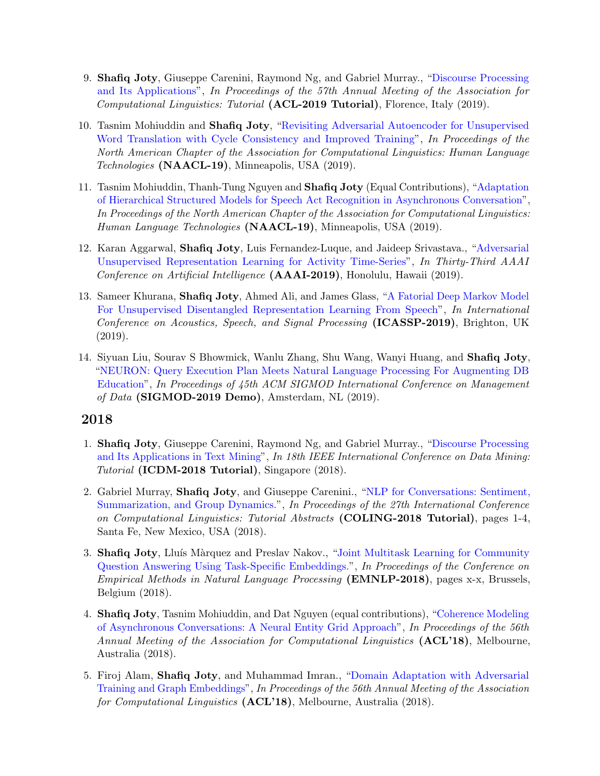- 9. Shafiq Joty, Giuseppe Carenini, Raymond Ng, and Gabriel Murray., ["Discourse Processing](https://ntunlpsg.github.io/project/acl19tutorial/) [and Its Applications"](https://ntunlpsg.github.io/project/acl19tutorial/), In Proceedings of the 57th Annual Meeting of the Association for Computational Linguistics: Tutorial (ACL-2019 Tutorial), Florence, Italy (2019).
- 10. Tasnim Mohiuddin and Shafiq Joty, ["Revisiting Adversarial Autoencoder for Unsupervised](https://arxiv.org/abs/1904.04116) [Word Translation with Cycle Consistency and Improved Training"](https://arxiv.org/abs/1904.04116), In Proceedings of the North American Chapter of the Association for Computational Linguistics: Human Language Technologies (NAACL-19), Minneapolis, USA (2019).
- 11. Tasnim Mohiuddin, Thanh-Tung Nguyen and Shafiq Joty (Equal Contributions), ["Adaptation](https://arxiv.org/abs/1904.04021) [of Hierarchical Structured Models for Speech Act Recognition in Asynchronous Conversation"](https://arxiv.org/abs/1904.04021), In Proceedings of the North American Chapter of the Association for Computational Linguistics: Human Language Technologies (NAACL-19), Minneapolis, USA (2019).
- 12. Karan Aggarwal, Shafiq Joty, Luis Fernandez-Luque, and Jaideep Srivastava., ["Adversarial](https://arxiv.org/abs/1811.06847) [Unsupervised Representation Learning for Activity Time-Series"](https://arxiv.org/abs/1811.06847), In Thirty-Third AAAI Conference on Artificial Intelligence (AAAI-2019), Honolulu, Hawaii (2019).
- 13. Sameer Khurana, Shafiq Joty, Ahmed Ali, and James Glass, ["A Fatorial Deep Markov Model](http://people.csail.mit.edu/sameerk/papers/ICASSP_dmm_rev.pdf) [For Unsupervised Disentangled Representation Learning From Speech"](http://people.csail.mit.edu/sameerk/papers/ICASSP_dmm_rev.pdf), In International Conference on Acoustics, Speech, and Signal Processing (ICASSP-2019), Brighton, UK (2019).
- 14. Siyuan Liu, Sourav S Bhowmick, Wanlu Zhang, Shu Wang, Wanyi Huang, and Shafiq Joty, ["NEURON: Query Execution Plan Meets Natural Language Processing For Augmenting DB](https://raihanjoty.github.io/papers/liu-et-al-sigmod-demo-19.pdf) [Education"](https://raihanjoty.github.io/papers/liu-et-al-sigmod-demo-19.pdf), In Proceedings of 45th ACM SIGMOD International Conference on Management of Data (SIGMOD-2019 Demo), Amsterdam, NL  $(2019)$ .

- 1. Shafiq Joty, Giuseppe Carenini, Raymond Ng, and Gabriel Murray., ["Discourse Processing](https://ntunlpsg.github.io/project/icdmtutorial/) [and Its Applications in Text Mining"](https://ntunlpsg.github.io/project/icdmtutorial/), In 18th IEEE International Conference on Data Mining: Tutorial (ICDM-2018 Tutorial), Singapore (2018).
- 2. Gabriel Murray, Shafiq Joty, and Giuseppe Carenini., ["NLP for Conversations: Sentiment,](http://aclweb.org/anthology/C18-3001) [Summarization, and Group Dynamics."](http://aclweb.org/anthology/C18-3001), In Proceedings of the 27th International Conference on Computational Linguistics: Tutorial Abstracts (COLING-2018 Tutorial), pages 1-4, Santa Fe, New Mexico, USA (2018).
- 3. Shafiq Joty, Lluís Màrquez and Preslav Nakov., ["Joint Multitask Learning for Community](https://arxiv.org/abs/1809.08928) [Question Answering Using Task-Specific Embeddings."](https://arxiv.org/abs/1809.08928), In Proceedings of the Conference on Empirical Methods in Natural Language Processing (EMNLP-2018), pages x-x, Brussels, Belgium (2018).
- 4. Shafiq Joty, Tasnim Mohiuddin, and Dat Nguyen (equal contributions), ["Coherence Modeling](https://arxiv.org/abs/1805.02275) [of Asynchronous Conversations: A Neural Entity Grid Approach"](https://arxiv.org/abs/1805.02275), In Proceedings of the 56th Annual Meeting of the Association for Computational Linguistics (ACL'18), Melbourne, Australia (2018).
- 5. Firoj Alam, Shafiq Joty, and Muhammad Imran., ["Domain Adaptation with Adversarial](https://arxiv.org/abs/1805.05151) [Training and Graph Embeddings"](https://arxiv.org/abs/1805.05151), In Proceedings of the 56th Annual Meeting of the Association for Computational Linguistics (ACL'18), Melbourne, Australia (2018).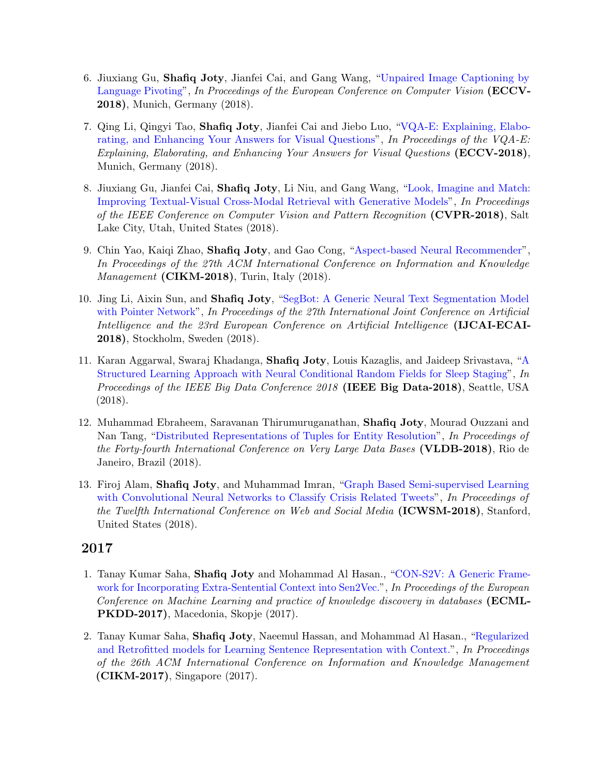- 6. Jiuxiang Gu, Shafiq Joty, Jianfei Cai, and Gang Wang, ["Unpaired Image Captioning by](https://arxiv.org/abs/1803.05526) [Language Pivoting"](https://arxiv.org/abs/1803.05526), In Proceedings of the European Conference on Computer Vision (ECCV-2018), Munich, Germany (2018).
- 7. Qing Li, Qingyi Tao, Shafiq Joty, Jianfei Cai and Jiebo Luo, ["VQA-E: Explaining, Elabo](https://arxiv.org/abs/1803.07464)[rating, and Enhancing Your Answers for Visual Questions"](https://arxiv.org/abs/1803.07464), In Proceedings of the VQA-E: Explaining, Elaborating, and Enhancing Your Answers for Visual Questions (ECCV-2018), Munich, Germany (2018).
- 8. Jiuxiang Gu, Jianfei Cai, Shafiq Joty, Li Niu, and Gang Wang, ["Look, Imagine and Match:](https://arxiv.org/abs/1711.06420) [Improving Textual-Visual Cross-Modal Retrieval with Generative Models"](https://arxiv.org/abs/1711.06420), In Proceedings of the IEEE Conference on Computer Vision and Pattern Recognition (CVPR-2018), Salt Lake City, Utah, United States (2018).
- 9. Chin Yao, Kaiqi Zhao, Shafiq Joty, and Gao Cong, ["Aspect-based Neural Recommender"](https://raihanjoty.github.io/papers/chin-et-al-cikm-18.pdf), In Proceedings of the 27th ACM International Conference on Information and Knowledge *Management* (CIKM-2018), Turin, Italy  $(2018)$ .
- 10. Jing Li, Aixin Sun, and Shafiq Joty, ["SegBot: A Generic Neural Text Segmentation Model](http://138.197.118.157:8000/segbot/) [with Pointer Network"](http://138.197.118.157:8000/segbot/), In Proceedings of the 27th International Joint Conference on Artificial Intelligence and the 23rd European Conference on Artificial Intelligence (IJCAI-ECAI-2018), Stockholm, Sweden (2018).
- 11. Karan Aggarwal, Swaraj Khadanga, Shafiq Joty, Louis Kazaglis, and Jaideep Srivastava, ["A](https://raihanjoty.github.io/papers/karan-et-al-ieee-big-data-18.pdf) [Structured Learning Approach with Neural Conditional Random Fields for Sleep Staging"](https://raihanjoty.github.io/papers/karan-et-al-ieee-big-data-18.pdf), In Proceedings of the IEEE Big Data Conference 2018 (IEEE Big Data-2018), Seattle, USA (2018).
- 12. Muhammad Ebraheem, Saravanan Thirumuruganathan, Shafiq Joty, Mourad Ouzzani and Nan Tang, ["Distributed Representations of Tuples for Entity Resolution"](http://www.vldb.org/pvldb/vol11/p1454-ebraheem.pdf), In Proceedings of the Forty-fourth International Conference on Very Large Data Bases (VLDB-2018), Rio de Janeiro, Brazil (2018).
- 13. Firoj Alam, Shafiq Joty, and Muhammad Imran, ["Graph Based Semi-supervised Learning](https://www.aaai.org/ocs/index.php/ICWSM/ICWSM18/paper/view/17815) [with Convolutional Neural Networks to Classify Crisis Related Tweets"](https://www.aaai.org/ocs/index.php/ICWSM/ICWSM18/paper/view/17815), In Proceedings of the Twelfth International Conference on Web and Social Media (ICWSM-2018), Stanford, United States (2018).

- 1. Tanay Kumar Saha, Shafiq Joty and Mohammad Al Hasan., ["CON-S2V: A Generic Frame](https://raihanjoty.github.io/papers/saha-joty-hasan-ecml-17.pdf)[work for Incorporating Extra-Sentential Context into Sen2Vec."](https://raihanjoty.github.io/papers/saha-joty-hasan-ecml-17.pdf), In Proceedings of the European Conference on Machine Learning and practice of knowledge discovery in databases (ECML-PKDD-2017), Macedonia, Skopje (2017).
- 2. Tanay Kumar Saha, Shafiq Joty, Naeemul Hassan, and Mohammad Al Hasan., ["Regularized](http://alt.qcri.org/~sjoty/paper/sen2vec-reg.pdf) [and Retrofitted models for Learning Sentence Representation with Context."](http://alt.qcri.org/~sjoty/paper/sen2vec-reg.pdf), In Proceedings of the 26th ACM International Conference on Information and Knowledge Management (CIKM-2017), Singapore (2017).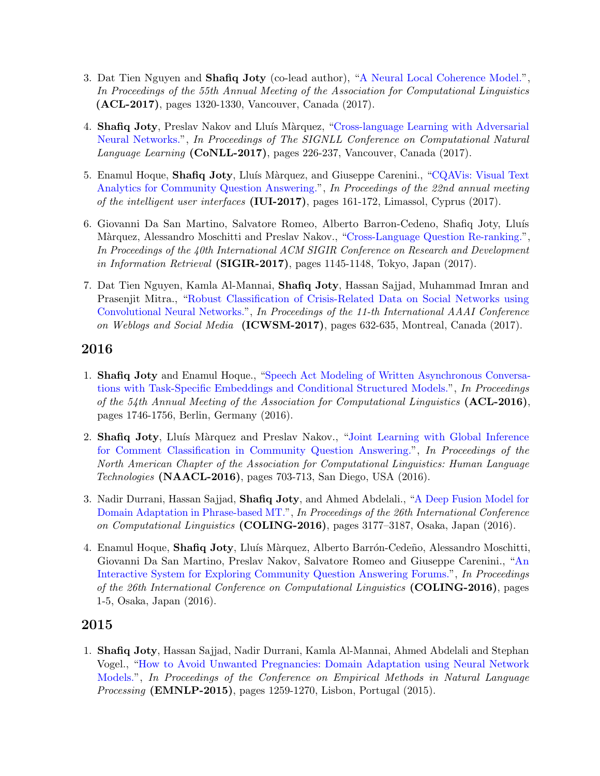- 3. Dat Tien Nguyen and Shafiq Joty (co-lead author), ["A Neural Local Coherence Model."](http://www.aclweb.org/anthology/P/P17/P17-1121.pdf), In Proceedings of the 55th Annual Meeting of the Association for Computational Linguistics (ACL-2017), pages 1320-1330, Vancouver, Canada (2017).
- 4. **Shafiq Joty**, Preslav Nakov and Lluís Màrquez, ["Cross-language Learning with Adversarial](http://www.aclweb.org/anthology/K/K17/K17-1024.pdf) [Neural Networks."](http://www.aclweb.org/anthology/K/K17/K17-1024.pdf), In Proceedings of The SIGNLL Conference on Computational Natural Language Learning (CoNLL-2017), pages 226-237, Vancouver, Canada (2017).
- 5. Enamul Hoque, Shafiq Joty, Lluís Màrquez, and Giuseppe Carenini., ["CQAVis: Visual Text](http://dl.acm.org/authorize.cfm?key=N22238)" [Analytics for Community Question Answering."](http://dl.acm.org/authorize.cfm?key=N22238), In Proceedings of the 22nd annual meeting of the intelligent user interfaces (IUI-2017), pages 161-172, Limassol, Cyprus (2017).
- 6. Giovanni Da San Martino, Salvatore Romeo, Alberto Barron-Cedeno, Shafiq Joty, Lluís Màrquez, Alessandro Moschitti and Preslav Nakov., ["Cross-Language Question Re-ranking."](http://dl.acm.org/citation.cfm?doid=3077136.3080743), In Proceedings of the 40th International ACM SIGIR Conference on Research and Development in Information Retrieval (SIGIR-2017), pages  $1145-1148$ , Tokyo, Japan (2017).
- 7. Dat Tien Nguyen, Kamla Al-Mannai, Shafiq Joty, Hassan Sajjad, Muhammad Imran and Prasenjit Mitra., ["Robust Classification of Crisis-Related Data on Social Networks using](http://mimran.me/papers/robust_classification_of_crisis_data_on_social_media_using_cnn_icwsm2017.pdf) [Convolutional Neural Networks."](http://mimran.me/papers/robust_classification_of_crisis_data_on_social_media_using_cnn_icwsm2017.pdf), In Proceedings of the 11-th International AAAI Conference on Weblogs and Social Media (ICWSM-2017), pages 632-635, Montreal, Canada (2017).

- 1. Shafiq Joty and Enamul Hoque., ["Speech Act Modeling of Written Asynchronous Conversa](https://www.aclweb.org/anthology/P/P16/P16-1165.pdf)[tions with Task-Specific Embeddings and Conditional Structured Models."](https://www.aclweb.org/anthology/P/P16/P16-1165.pdf), In Proceedings of the 54th Annual Meeting of the Association for Computational Linguistics (ACL-2016), pages 1746-1756, Berlin, Germany (2016).
- 2. Shafiq Joty, Lluís Màrquez and Preslav Nakov., ["Joint Learning with Global Inference](http://m-mitchell.com/NAACL-2016/NAACL-HLT2016/pdf/N16-1084.pdf) [for Comment Classification in Community Question Answering."](http://m-mitchell.com/NAACL-2016/NAACL-HLT2016/pdf/N16-1084.pdf), In Proceedings of the North American Chapter of the Association for Computational Linguistics: Human Language Technologies (NAACL-2016), pages 703-713, San Diego, USA (2016).
- 3. Nadir Durrani, Hassan Sajjad, Shafiq Joty, and Ahmed Abdelali., ["A Deep Fusion Model for](http://coling2016.anlp.jp/) [Domain Adaptation in Phrase-based MT."](http://coling2016.anlp.jp/), In Proceedings of the 26th International Conference on Computational Linguistics (COLING-2016), pages 3177–3187, Osaka, Japan (2016).
- 4. Enamul Hoque, Shafiq Joty, Lluís Màrquez, Alberto Barrón-Cedeño, Alessandro Moschitti, Giovanni Da San Martino, Preslav Nakov, Salvatore Romeo and Giuseppe Carenini., ["An](http://coling2016.anlp.jp/) [Interactive System for Exploring Community Question Answering Forums."](http://coling2016.anlp.jp/), In Proceedings of the 26th International Conference on Computational Linguistics (COLING-2016), pages 1-5, Osaka, Japan (2016).

## 2015

1. Shafiq Joty, Hassan Sajjad, Nadir Durrani, Kamla Al-Mannai, Ahmed Abdelali and Stephan Vogel., ["How to Avoid Unwanted Pregnancies: Domain Adaptation using Neural Network](http://aclweb.org/anthology/D/D15/D15-1147.pdf) [Models."](http://aclweb.org/anthology/D/D15/D15-1147.pdf), In Proceedings of the Conference on Empirical Methods in Natural Language Processing (EMNLP-2015), pages 1259-1270, Lisbon, Portugal (2015).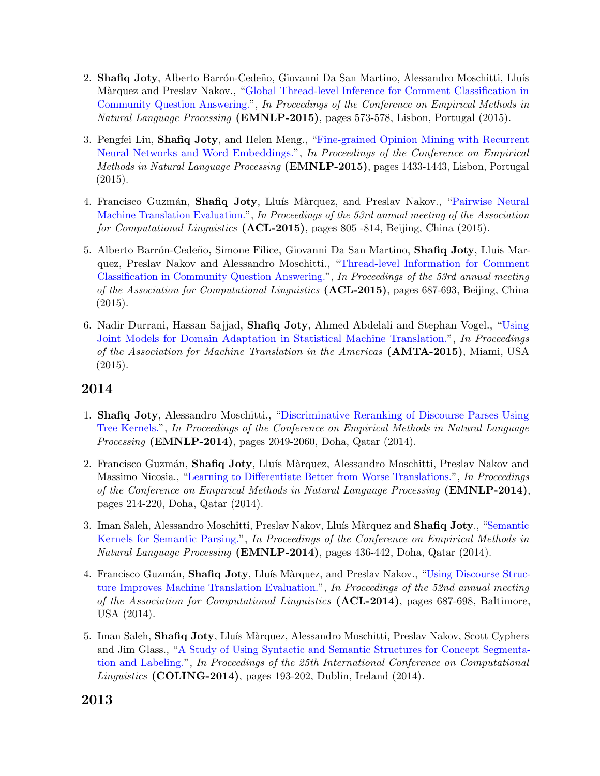- 2. Shafiq Joty, Alberto Barrón-Cedeño, Giovanni Da San Martino, Alessandro Moschitti, Lluís Màrquez and Preslav Nakov., ["Global Thread-level Inference for Comment Classification in](http://aclweb.org/anthology/D/D15/D15-1068.pdf) [Community Question Answering."](http://aclweb.org/anthology/D/D15/D15-1068.pdf), In Proceedings of the Conference on Empirical Methods in Natural Language Processing (EMNLP-2015), pages 573-578, Lisbon, Portugal (2015).
- 3. Pengfei Liu, Shafiq Joty, and Helen Meng., ["Fine-grained Opinion Mining with Recurrent](http://aclweb.org/anthology/D/D15/D15-1168.pdf) [Neural Networks and Word Embeddings."](http://aclweb.org/anthology/D/D15/D15-1168.pdf), In Proceedings of the Conference on Empirical Methods in Natural Language Processing (EMNLP-2015), pages 1433-1443, Lisbon, Portugal  $(2015).$
- 4. Francisco Guzmán, Shafiq Joty, Lluís Màrquez, and Preslav Nakov., ["Pairwise Neural](https://aclweb.org/anthology/P/P15/P15-1078.pdf) [Machine Translation Evaluation."](https://aclweb.org/anthology/P/P15/P15-1078.pdf), In Proceedings of the 53rd annual meeting of the Association for Computational Linguistics (ACL-2015), pages 805 -814, Beijing, China (2015).
- 5. Alberto Barrón-Cedeño, Simone Filice, Giovanni Da San Martino, **Shafiq Joty**, Lluis Marquez, Preslav Nakov and Alessandro Moschitti., ["Thread-level Information for Comment](http://www.aclweb.org/anthology/P15-2113) [Classification in Community Question Answering."](http://www.aclweb.org/anthology/P15-2113), In Proceedings of the 53rd annual meeting of the Association for Computational Linguistics (ACL-2015), pages 687-693, Beijing, China  $(2015).$
- 6. Nadir Durrani, Hassan Sajjad, Shafiq Joty, Ahmed Abdelali and Stephan Vogel., ["Using](http://www.researchgate.net/publication/281556042_Using_Joint_Models_for_Domain_Adaptation_in_Statistical_Machine_Translation) [Joint Models for Domain Adaptation in Statistical Machine Translation."](http://www.researchgate.net/publication/281556042_Using_Joint_Models_for_Domain_Adaptation_in_Statistical_Machine_Translation), In Proceedings of the Association for Machine Translation in the Americas (AMTA-2015), Miami, USA (2015).

- 1. Shafiq Joty, Alessandro Moschitti., ["Discriminative Reranking of Discourse Parses Using](http://emnlp2014.org/papers/pdf/EMNLP2014219.pdf) [Tree Kernels."](http://emnlp2014.org/papers/pdf/EMNLP2014219.pdf), In Proceedings of the Conference on Empirical Methods in Natural Language Processing (EMNLP-2014), pages 2049-2060, Doha, Qatar (2014).
- 2. Francisco Guzmán, Shafiq Joty, Lluís Màrquez, Alessandro Moschitti, Preslav Nakov and Massimo Nicosia., ["Learning to Differentiate Better from Worse Translations."](http://aclweb.org/anthology/D/D14/D14-1027.pdf), In Proceedings of the Conference on Empirical Methods in Natural Language Processing (EMNLP-2014), pages 214-220, Doha, Qatar (2014).
- 3. Iman Saleh, Alessandro Moschitti, Preslav Nakov, Lluís Màrquez and Shafiq Joty., ["Semantic](http://qcri.org.qa/app/media/4849) [Kernels for Semantic Parsing."](http://qcri.org.qa/app/media/4849), In Proceedings of the Conference on Empirical Methods in Natural Language Processing (EMNLP-2014), pages 436-442, Doha, Qatar (2014).
- 4. Francisco Guzmán, **Shafiq Joty**, Lluís Màrquez, and Preslav Nakov., ["Using Discourse Struc](http://qcri.org.qa/app/media/4865)[ture Improves Machine Translation Evaluation."](http://qcri.org.qa/app/media/4865), In Proceedings of the 52nd annual meeting of the Association for Computational Linguistics (ACL-2014), pages 687-698, Baltimore, USA (2014).
- 5. Iman Saleh, Shafiq Joty, Lluís Màrquez, Alessandro Moschitti, Preslav Nakov, Scott Cyphers and Jim Glass., ["A Study of Using Syntactic and Semantic Structures for Concept Segmenta](http://anthology.aclweb.org/C/C14/C14-1020.pdf)[tion and Labeling."](http://anthology.aclweb.org/C/C14/C14-1020.pdf), In Proceedings of the 25th International Conference on Computational Linguistics (COLING-2014), pages 193-202, Dublin, Ireland (2014).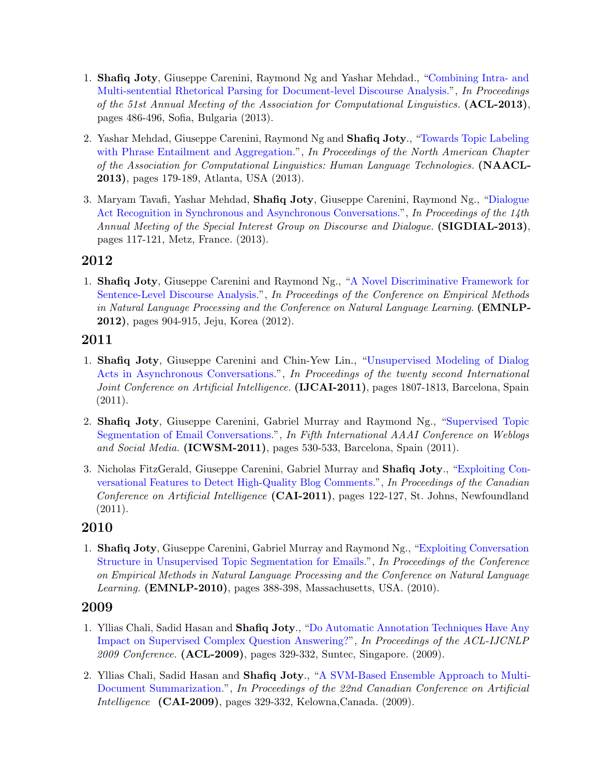- 1. Shafiq Joty, Giuseppe Carenini, Raymond Ng and Yashar Mehdad., ["Combining Intra- and](http://www.aclweb.org/anthology/P13-1048) [Multi-sentential Rhetorical Parsing for Document-level Discourse Analysis."](http://www.aclweb.org/anthology/P13-1048), In Proceedings of the 51st Annual Meeting of the Association for Computational Linguistics. (ACL-2013), pages 486-496, Sofia, Bulgaria (2013).
- 2. Yashar Mehdad, Giuseppe Carenini, Raymond Ng and Shafiq Joty., ["Towards Topic Labeling](http://www.aclweb.org/anthology/N13-1018) [with Phrase Entailment and Aggregation."](http://www.aclweb.org/anthology/N13-1018), In Proceedings of the North American Chapter of the Association for Computational Linguistics: Human Language Technologies. (NAACL-2013), pages 179-189, Atlanta, USA (2013).
- 3. Maryam Tavafi, Yashar Mehdad, Shafiq Joty, Giuseppe Carenini, Raymond Ng., ["Dialogue](http://www.aclweb.org/anthology/W13-4017) [Act Recognition in Synchronous and Asynchronous Conversations."](http://www.aclweb.org/anthology/W13-4017), In Proceedings of the 14th Annual Meeting of the Special Interest Group on Discourse and Dialogue. (SIGDIAL-2013), pages 117-121, Metz, France. (2013).

1. Shafiq Joty, Giuseppe Carenini and Raymond Ng., ["A Novel Discriminative Framework for](https://aclweb.org/anthology/D/D12/D12-1083.pdf) [Sentence-Level Discourse Analysis."](https://aclweb.org/anthology/D/D12/D12-1083.pdf), In Proceedings of the Conference on Empirical Methods in Natural Language Processing and the Conference on Natural Language Learning. (EMNLP-2012), pages 904-915, Jeju, Korea (2012).

## 2011

- 1. Shafiq Joty, Giuseppe Carenini and Chin-Yew Lin., ["Unsupervised Modeling of Dialog](http://dl.acm.org/citation.cfm?id=2283705) [Acts in Asynchronous Conversations."](http://dl.acm.org/citation.cfm?id=2283705), In Proceedings of the twenty second International Joint Conference on Artificial Intelligence. (IJCAI-2011), pages 1807-1813, Barcelona, Spain (2011).
- 2. Shafiq Joty, Giuseppe Carenini, Gabriel Murray and Raymond Ng., ["Supervised Topic](https://www.aaai.org/ocs/index.php/ICWSM/ICWSM11/paper/viewFile/2882/3228) [Segmentation of Email Conversations."](https://www.aaai.org/ocs/index.php/ICWSM/ICWSM11/paper/viewFile/2882/3228), In Fifth International AAAI Conference on Weblogs and Social Media. (ICWSM-2011), pages 530-533, Barcelona, Spain (2011).
- 3. Nicholas FitzGerald, Giuseppe Carenini, Gabriel Murray and Shafiq Joty., ["Exploiting Con](http://link.springer.com/chapter/10.1007/978-3-642-21043-3_15)[versational Features to Detect High-Quality Blog Comments."](http://link.springer.com/chapter/10.1007/978-3-642-21043-3_15), In Proceedings of the Canadian Conference on Artificial Intelligence (CAI-2011), pages 122-127, St. Johns, Newfoundland (2011).

## 2010

1. Shafiq Joty, Giuseppe Carenini, Gabriel Murray and Raymond Ng., ["Exploiting Conversation](https://www.aclweb.org/anthology/D/D10/D10-1038.pdf) [Structure in Unsupervised Topic Segmentation for Emails."](https://www.aclweb.org/anthology/D/D10/D10-1038.pdf), In Proceedings of the Conference on Empirical Methods in Natural Language Processing and the Conference on Natural Language Learning. (EMNLP-2010), pages 388-398, Massachusetts, USA. (2010).

- 1. Yllias Chali, Sadid Hasan and Shafiq Joty., ["Do Automatic Annotation Techniques Have Any](http://www.aclweb.org/anthology/P09-2083) [Impact on Supervised Complex Question Answering?"](http://www.aclweb.org/anthology/P09-2083), In Proceedings of the ACL-IJCNLP 2009 Conference. (**ACL-2009**), pages 329-332, Suntec, Singapore. (2009).
- 2. Yllias Chali, Sadid Hasan and Shafiq Joty., ["A SVM-Based Ensemble Approach to Multi-](http://link.springer.com/chapter/10.1007%2F978-3-642-01818-3_23)[Document Summarization."](http://link.springer.com/chapter/10.1007%2F978-3-642-01818-3_23), In Proceedings of the 22nd Canadian Conference on Artificial Intelligence (CAI-2009), pages 329-332, Kelowna,Canada. (2009).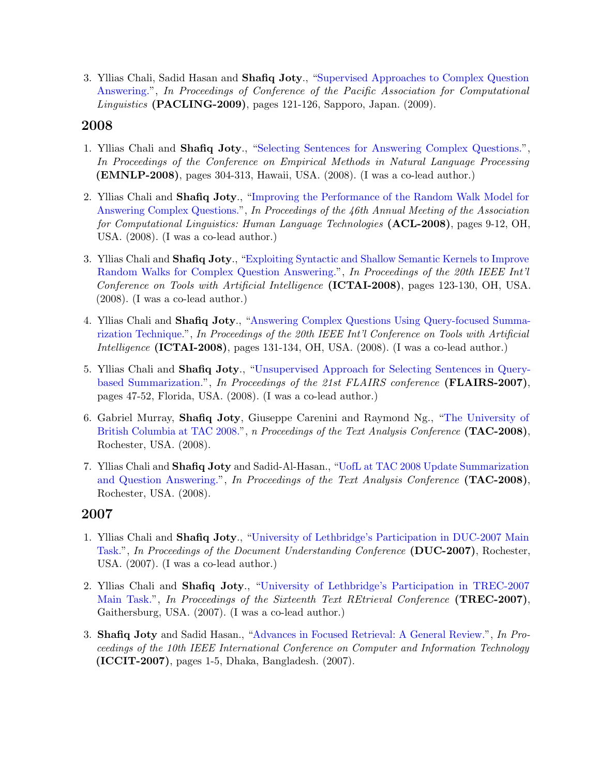3. Yllias Chali, Sadid Hasan and Shafiq Joty., ["Supervised Approaches to Complex Question](http://www.sadidhasan.com/sadid-PACLING.pdf) [Answering."](http://www.sadidhasan.com/sadid-PACLING.pdf), In Proceedings of Conference of the Pacific Association for Computational Linguistics (PACLING-2009), pages 121-126, Sapporo, Japan. (2009).

## 2008

- 1. Yllias Chali and Shafiq Joty., ["Selecting Sentences for Answering Complex Questions."](http://www.aclweb.org/anthology/D08-1032), In Proceedings of the Conference on Empirical Methods in Natural Language Processing (EMNLP-2008), pages 304-313, Hawaii, USA. (2008). (I was a co-lead author.)
- 2. Yllias Chali and Shafiq Joty., ["Improving the Performance of the Random Walk Model for](http://dl.acm.org/citation.cfm?id=1557694) [Answering Complex Questions."](http://dl.acm.org/citation.cfm?id=1557694), In Proceedings of the 46th Annual Meeting of the Association for Computational Linguistics: Human Language Technologies (ACL-2008), pages 9-12, OH, USA. (2008). (I was a co-lead author.)
- 3. Yllias Chali and Shafiq Joty., ["Exploiting Syntactic and Shallow Semantic Kernels to Improve](https://www.computer.org/csdl/proceedings/ictai/2008/3440/02/3440b123.pdf) [Random Walks for Complex Question Answering."](https://www.computer.org/csdl/proceedings/ictai/2008/3440/02/3440b123.pdf), In Proceedings of the 20th IEEE Int'l Conference on Tools with Artificial Intelligence (ICTAI-2008), pages 123-130, OH, USA. (2008). (I was a co-lead author.)
- 4. Yllias Chali and Shafiq Joty., ["Answering Complex Questions Using Query-focused Summa](https://www.computer.org/csdl/proceedings/ictai/2008/3440/02/3440b131.pdf)[rization Technique."](https://www.computer.org/csdl/proceedings/ictai/2008/3440/02/3440b131.pdf), In Proceedings of the 20th IEEE Int'l Conference on Tools with Artificial Intelligence (ICTAI-2008), pages 131-134, OH, USA. (2008). (I was a co-lead author.)
- 5. Yllias Chali and Shafiq Joty., ["Unsupervised Approach for Selecting Sentences in Query](http://www.aaai.org/Library/FLAIRS/2008/flairs08-019.php)[based Summarization."](http://www.aaai.org/Library/FLAIRS/2008/flairs08-019.php), In Proceedings of the 21st FLAIRS conference (FLAIRS-2007), pages 47-52, Florida, USA. (2008). (I was a co-lead author.)
- 6. Gabriel Murray, Shafiq Joty, Giuseppe Carenini and Raymond Ng., ["The University of](http://www.nist.gov/tac/publications/2008/participant.papers/UBC.proceedings.pdf) [British Columbia at TAC 2008."](http://www.nist.gov/tac/publications/2008/participant.papers/UBC.proceedings.pdf), n Proceedings of the Text Analysis Conference (TAC-2008), Rochester, USA. (2008).
- 7. Yllias Chali and Shafiq Joty and Sadid-Al-Hasan., ["UofL at TAC 2008 Update Summarization](http://www.nist.gov/tac/publications/2008/participant.papers/UofL.proceedings.pdf) [and Question Answering."](http://www.nist.gov/tac/publications/2008/participant.papers/UofL.proceedings.pdf), In Proceedings of the Text Analysis Conference (TAC-2008), Rochester, USA. (2008).

- 1. Yllias Chali and Shafiq Joty., ["University of Lethbridge's Participation in DUC-2007 Main](http://duc.nist.gov/pubs/2007papers/ulethbridge.pdf) [Task."](http://duc.nist.gov/pubs/2007papers/ulethbridge.pdf), In Proceedings of the Document Understanding Conference (DUC-2007), Rochester, USA. (2007). (I was a co-lead author.)
- 2. Yllias Chali and Shafiq Joty., ["University of Lethbridge's Participation in TREC-2007](http://trec.nist.gov/pubs/trec16/papers/ulethbridge.qa.final.pdf) [Main Task."](http://trec.nist.gov/pubs/trec16/papers/ulethbridge.qa.final.pdf), In Proceedings of the Sixteenth Text REtrieval Conference (TREC-2007), Gaithersburg, USA. (2007). (I was a co-lead author.)
- 3. Shafiq Joty and Sadid Hasan., ["Advances in Focused Retrieval: A General Review."](http://ieeexplore.ieee.org/xpls/abs_all.jsp?arnumber=4579357&tag=1), In Proceedings of the 10th IEEE International Conference on Computer and Information Technology (ICCIT-2007), pages 1-5, Dhaka, Bangladesh. (2007).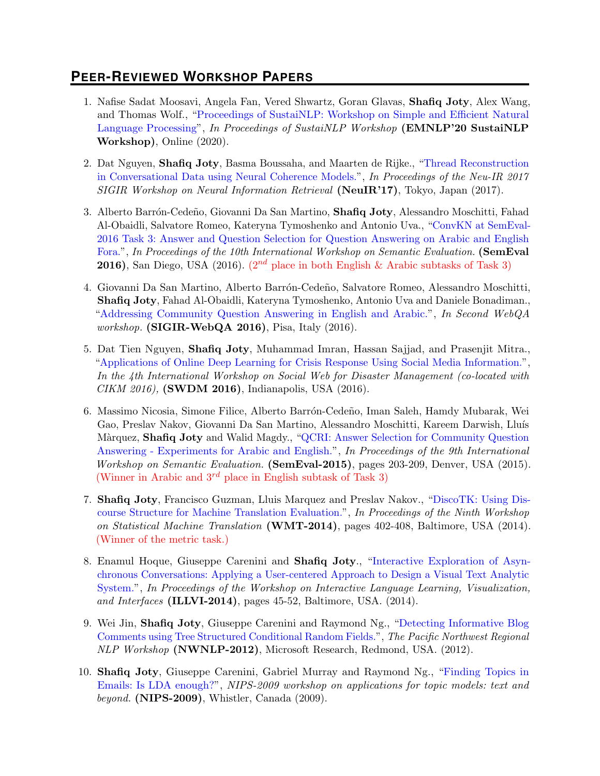# **PEER-REVIEWED WORKSHOP PAPERS**

- 1. Nafise Sadat Moosavi, Angela Fan, Vered Shwartz, Goran Glavas, Shafiq Joty, Alex Wang, and Thomas Wolf., ["Proceedings of SustaiNLP: Workshop on Simple and Efficient Natural](https://aclanthology.org/2020.sustainlp-1.0) [Language Processing"](https://aclanthology.org/2020.sustainlp-1.0), In Proceedings of SustaiNLP Workshop (EMNLP'20 SustaiNLP Workshop), Online (2020).
- 2. Dat Nguyen, Shafiq Joty, Basma Boussaha, and Maarten de Rijke., ["Thread Reconstruction](https://raihanjoty.github.io/papers/nguyen-joty-boussaha-rijke-neuir-17.pdf) [in Conversational Data using Neural Coherence Models."](https://raihanjoty.github.io/papers/nguyen-joty-boussaha-rijke-neuir-17.pdf), In Proceedings of the Neu-IR 2017 SIGIR Workshop on Neural Information Retrieval (NeuIR'17), Tokyo, Japan (2017).
- 3. Alberto Barrón-Cedeño, Giovanni Da San Martino, Shafiq Joty, Alessandro Moschitti, Fahad Al-Obaidli, Salvatore Romeo, Kateryna Tymoshenko and Antonio Uva., ["ConvKN at SemEval-](https://aclweb.org/anthology/S/S16/S16-1138.pdf)[2016 Task 3: Answer and Question Selection for Question Answering on Arabic and English](https://aclweb.org/anthology/S/S16/S16-1138.pdf) [Fora."](https://aclweb.org/anthology/S/S16/S16-1138.pdf), In Proceedings of the 10th International Workshop on Semantic Evaluation. (SemEval **2016**), San Diego, USA (2016). ( $2^{nd}$  place in both English & Arabic subtasks of Task 3)
- 4. Giovanni Da San Martino, Alberto Barrón-Cedeño, Salvatore Romeo, Alessandro Moschitti, Shafiq Joty, Fahad Al-Obaidli, Kateryna Tymoshenko, Antonio Uva and Daniele Bonadiman., ["Addressing Community Question Answering in English and Arabic."](http://disi.unitn.it/moschitti/since2013/2016_SIGIR_Da-San-Martino_CQA-English-Arabic.pdf), In Second WebQA *workshop.* (SIGIR-WebQA 2016), Pisa, Italy  $(2016)$ .
- 5. Dat Tien Nguyen, Shafiq Joty, Muhammad Imran, Hassan Sajjad, and Prasenjit Mitra., ["Applications of Online Deep Learning for Crisis Response Using Social Media Information."](https://arxiv.org/abs/1610.01030), In the 4th International Workshop on Social Web for Disaster Management (co-located with CIKM 2016), (SWDM 2016), Indianapolis, USA (2016).
- 6. Massimo Nicosia, Simone Filice, Alberto Barr´on-Cede˜no, Iman Saleh, Hamdy Mubarak, Wei Gao, Preslav Nakov, Giovanni Da San Martino, Alessandro Moschitti, Kareem Darwish, Lluís Màrquez, Shafiq Joty and Walid Magdy., ["QCRI: Answer Selection for Community Question](http://qcri.org.qa/app/media/4829) [Answering - Experiments for Arabic and English."](http://qcri.org.qa/app/media/4829), In Proceedings of the 9th International Workshop on Semantic Evaluation. (SemEval-2015), pages 203-209, Denver, USA (2015). (Winner in Arabic and  $3^{rd}$  place in English subtask of Task 3)
- 7. Shafiq Joty, Francisco Guzman, Lluis Marquez and Preslav Nakov., ["DiscoTK: Using Dis](https://www.aclweb.org/anthology/W/W14/W14-3352.pdf)[course Structure for Machine Translation Evaluation."](https://www.aclweb.org/anthology/W/W14/W14-3352.pdf), In Proceedings of the Ninth Workshop on Statistical Machine Translation (WMT-2014), pages 402-408, Baltimore, USA (2014). (Winner of the metric task.)
- 8. Enamul Hoque, Giuseppe Carenini and Shafiq Joty., ["Interactive Exploration of Asyn](http://nlp.stanford.edu/events/illvi2014/papers/hoque-illvi2014.pdf)[chronous Conversations: Applying a User-centered Approach to Design a Visual Text Analytic](http://nlp.stanford.edu/events/illvi2014/papers/hoque-illvi2014.pdf) [System."](http://nlp.stanford.edu/events/illvi2014/papers/hoque-illvi2014.pdf), In Proceedings of the Workshop on Interactive Language Learning, Visualization, and Interfaces (ILLVI-2014), pages 45-52, Baltimore, USA. (2014).
- 9. Wei Jin, Shafiq Joty, Giuseppe Carenini and Raymond Ng., ["Detecting Informative Blog](http://dada.cs.washington.edu/nw-nlp-2012/papers/Tree_CRF_CameraReady.pdf) [Comments using Tree Structured Conditional Random Fields."](http://dada.cs.washington.edu/nw-nlp-2012/papers/Tree_CRF_CameraReady.pdf), The Pacific Northwest Regional NLP Workshop (NWNLP-2012), Microsoft Research, Redmond, USA. (2012).
- 10. Shafiq Joty, Giuseppe Carenini, Gabriel Murray and Raymond Ng., ["Finding Topics in](http://depts.washington.edu/uwcl/nw-nlp-2010/papers/JotyEtAl_Oral.pdf) [Emails: Is LDA enough?"](http://depts.washington.edu/uwcl/nw-nlp-2010/papers/JotyEtAl_Oral.pdf), NIPS-2009 workshop on applications for topic models: text and beyond. (NIPS-2009), Whistler, Canada (2009).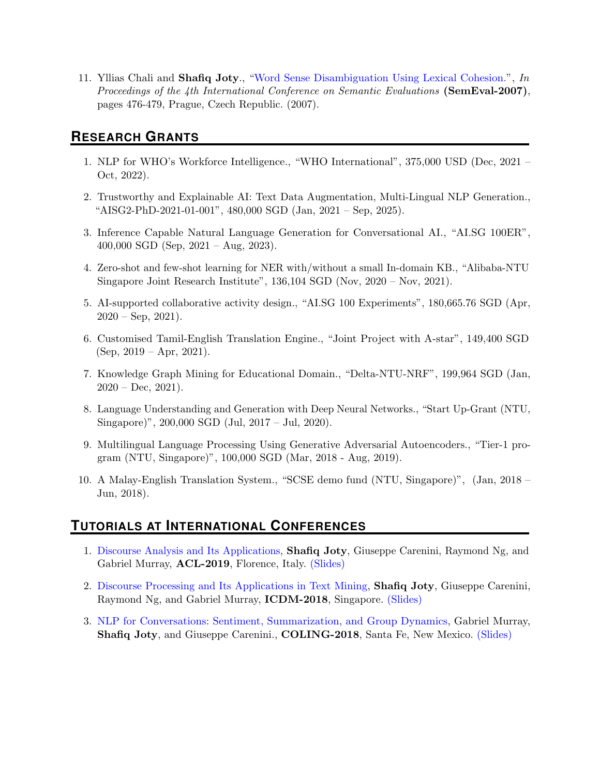11. Yllias Chali and Shafiq Joty., ["Word Sense Disambiguation Using Lexical Cohesion."](http://www.aclweb.org/anthology/S07-1106), In Proceedings of the 4th International Conference on Semantic Evaluations (SemEval-2007), pages 476-479, Prague, Czech Republic. (2007).

# **RESEARCH GRANTS**

- 1. NLP for WHO's Workforce Intelligence., "WHO International", 375,000 USD (Dec, 2021 Oct, 2022).
- 2. Trustworthy and Explainable AI: Text Data Augmentation, Multi-Lingual NLP Generation., "AISG2-PhD-2021-01-001", 480,000 SGD (Jan, 2021 – Sep, 2025).
- 3. Inference Capable Natural Language Generation for Conversational AI., "AI.SG 100ER", 400,000 SGD (Sep, 2021 – Aug, 2023).
- 4. Zero-shot and few-shot learning for NER with/without a small In-domain KB., "Alibaba-NTU Singapore Joint Research Institute", 136,104 SGD (Nov, 2020 – Nov, 2021).
- 5. AI-supported collaborative activity design., "AI.SG 100 Experiments", 180,665.76 SGD (Apr,  $2020 - \text{Sep}, 2021$ ).
- 6. Customised Tamil-English Translation Engine., "Joint Project with A-star", 149,400 SGD  $(Sep, 2019 - Apr, 2021).$
- 7. Knowledge Graph Mining for Educational Domain., "Delta-NTU-NRF", 199,964 SGD (Jan,  $2020 - Dec, 2021$ .
- 8. Language Understanding and Generation with Deep Neural Networks., "Start Up-Grant (NTU, Singapore)", 200,000 SGD (Jul, 2017 – Jul, 2020).
- 9. Multilingual Language Processing Using Generative Adversarial Autoencoders., "Tier-1 program (NTU, Singapore)", 100,000 SGD (Mar, 2018 - Aug, 2019).
- 10. A Malay-English Translation System., "SCSE demo fund (NTU, Singapore)", (Jan, 2018 Jun, 2018).

# **TUTORIALS AT INTERNATIONAL CONFERENCES**

- 1. [Discourse Analysis and Its Applications,](https://ntunlpsg.github.io/project/acl19tutorial/) Shafiq Joty, Giuseppe Carenini, Raymond Ng, and Gabriel Murray, ACL-2019, Florence, Italy. [\(Slides\)](https://ntunlpsg.github.io/project/acl19tutorial/)
- 2. [Discourse Processing and Its Applications in Text Mining,](https://ntunlpsg.github.io/project/icdmtutorial/) Shafiq Joty, Giuseppe Carenini, Raymond Ng, and Gabriel Murray, ICDM-2018, Singapore. [\(Slides\)](https://ntunlpsg.github.io/project/icdmtutorial/)
- 3. [NLP for Conversations: Sentiment, Summarization, and Group Dynamics,](https://sites.google.com/view/nlpforconversations) Gabriel Murray, Shafiq Joty, and Giuseppe Carenini., COLING-2018, Santa Fe, New Mexico. [\(Slides\)](https://sites.google.com/view/nlpforconversations)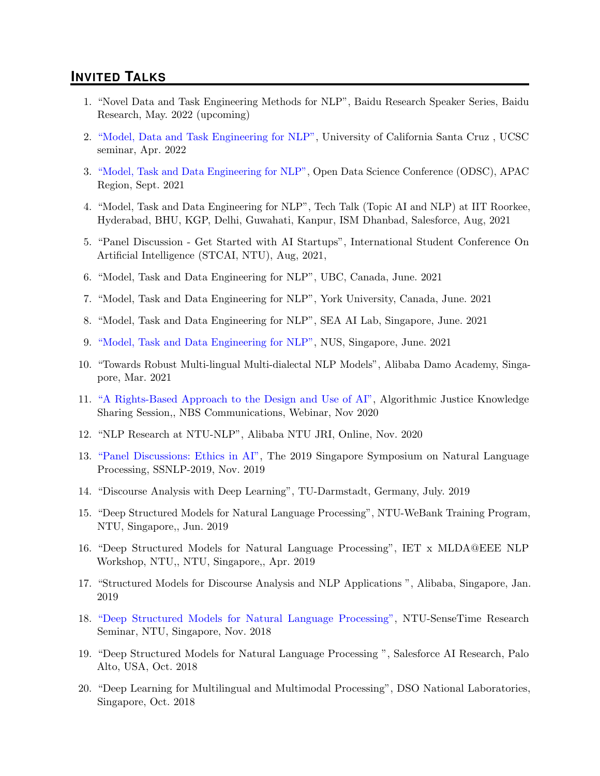## **INVITED TALKS**

- 1. "Novel Data and Task Engineering Methods for NLP", Baidu Research Speaker Series, Baidu Research, May. 2022 (upcoming)
- 2. ["Model, Data and Task Engineering for NLP",](https://engineering.ucsc.edu/events/model-data-and-task-engineering-nlp) University of California Santa Cruz , UCSC seminar, Apr. 2022
- 3. ["Model, Task and Data Engineering for NLP",](https://odsc.com/speakers/model-task-and-data-engineering-for-nlp/) Open Data Science Conference (ODSC), APAC Region, Sept. 2021
- 4. "Model, Task and Data Engineering for NLP", Tech Talk (Topic AI and NLP) at IIT Roorkee, Hyderabad, BHU, KGP, Delhi, Guwahati, Kanpur, ISM Dhanbad, Salesforce, Aug, 2021
- 5. "Panel Discussion Get Started with AI Startups", International Student Conference On Artificial Intelligence (STCAI, NTU), Aug, 2021,
- 6. "Model, Task and Data Engineering for NLP", UBC, Canada, June. 2021
- 7. "Model, Task and Data Engineering for NLP", York University, Canada, June. 2021
- 8. "Model, Task and Data Engineering for NLP", SEA AI Lab, Singapore, June. 2021
- 9. ["Model, Task and Data Engineering for NLP",](https://events.comp.nus.edu.sg/view/18204) NUS, Singapore, June. 2021
- 10. "Towards Robust Multi-lingual Multi-dialectal NLP Models", Alibaba Damo Academy, Singapore, Mar. 2021
- 11. ["A Rights-Based Approach to the Design and Use of AI",](https://www.ntu.edu.sg/nisth/the-nisth-story/research-projects/micron-nisth-responsible-ai-grant-call/algorithmic-justice-rights-based-approach-to-design-and-use-of-artificial-intelligence) Algorithmic Justice Knowledge Sharing Session,, NBS Communications, Webinar, Nov 2020
- 12. "NLP Research at NTU-NLP", Alibaba NTU JRI, Online, Nov. 2020
- 13. ["Panel Discussions: Ethics in AI",](https://wing-nus.github.io/SSNLP-2019/) The 2019 Singapore Symposium on Natural Language Processing, SSNLP-2019, Nov. 2019
- 14. "Discourse Analysis with Deep Learning", TU-Darmstadt, Germany, July. 2019
- 15. "Deep Structured Models for Natural Language Processing", NTU-WeBank Training Program, NTU, Singapore,, Jun. 2019
- 16. "Deep Structured Models for Natural Language Processing", IET x MLDA@EEE NLP Workshop, NTU,, NTU, Singapore,, Apr. 2019
- 17. "Structured Models for Discourse Analysis and NLP Applications ", Alibaba, Singapore, Jan. 2019
- 18. ["Deep Structured Models for Natural Language Processing",](http://news.ntu.edu.sg/Pages/NewsDetail.aspx?URL=http://news.ntu.edu.sg/news/Pages/Media2018_Jun29.aspx&Guid=73d1a7e9-e71c-4c42-b119-d4253fbc57bf&Category=All) NTU-SenseTime Research Seminar, NTU, Singapore, Nov. 2018
- 19. "Deep Structured Models for Natural Language Processing ", Salesforce AI Research, Palo Alto, USA, Oct. 2018
- 20. "Deep Learning for Multilingual and Multimodal Processing", DSO National Laboratories, Singapore, Oct. 2018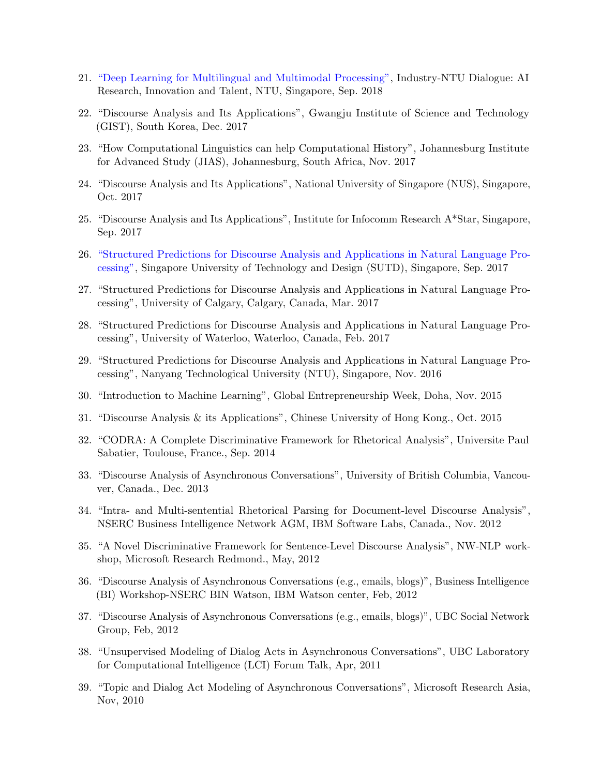- 21. ["Deep Learning for Multilingual and Multimodal Processing",](http://scse.ntu.edu.sg/Research/i-lab/NewsnEvents/Pages/News-Detail.aspx?news=fa6a85b7-f9aa-4b2a-b900-68f03d03c4ee) Industry-NTU Dialogue: AI Research, Innovation and Talent, NTU, Singapore, Sep. 2018
- 22. "Discourse Analysis and Its Applications", Gwangju Institute of Science and Technology (GIST), South Korea, Dec. 2017
- 23. "How Computational Linguistics can help Computational History", Johannesburg Institute for Advanced Study (JIAS), Johannesburg, South Africa, Nov. 2017
- 24. "Discourse Analysis and Its Applications", National University of Singapore (NUS), Singapore, Oct. 2017
- 25. "Discourse Analysis and Its Applications", Institute for Infocomm Research A\*Star, Singapore, Sep. 2017
- 26. ["Structured Predictions for Discourse Analysis and Applications in Natural Language Pro](http://www.statnlp.org/event/structured-predictions-for-discourse-analysis-and-applications-in-natural-language-processing.html)[cessing",](http://www.statnlp.org/event/structured-predictions-for-discourse-analysis-and-applications-in-natural-language-processing.html) Singapore University of Technology and Design (SUTD), Singapore, Sep. 2017
- 27. "Structured Predictions for Discourse Analysis and Applications in Natural Language Processing", University of Calgary, Calgary, Canada, Mar. 2017
- 28. "Structured Predictions for Discourse Analysis and Applications in Natural Language Processing", University of Waterloo, Waterloo, Canada, Feb. 2017
- 29. "Structured Predictions for Discourse Analysis and Applications in Natural Language Processing", Nanyang Technological University (NTU), Singapore, Nov. 2016
- 30. "Introduction to Machine Learning", Global Entrepreneurship Week, Doha, Nov. 2015
- 31. "Discourse Analysis & its Applications", Chinese University of Hong Kong., Oct. 2015
- 32. "CODRA: A Complete Discriminative Framework for Rhetorical Analysis", Universite Paul Sabatier, Toulouse, France., Sep. 2014
- 33. "Discourse Analysis of Asynchronous Conversations", University of British Columbia, Vancouver, Canada., Dec. 2013
- 34. "Intra- and Multi-sentential Rhetorical Parsing for Document-level Discourse Analysis", NSERC Business Intelligence Network AGM, IBM Software Labs, Canada., Nov. 2012
- 35. "A Novel Discriminative Framework for Sentence-Level Discourse Analysis", NW-NLP workshop, Microsoft Research Redmond., May, 2012
- 36. "Discourse Analysis of Asynchronous Conversations (e.g., emails, blogs)", Business Intelligence (BI) Workshop-NSERC BIN Watson, IBM Watson center, Feb, 2012
- 37. "Discourse Analysis of Asynchronous Conversations (e.g., emails, blogs)", UBC Social Network Group, Feb, 2012
- 38. "Unsupervised Modeling of Dialog Acts in Asynchronous Conversations", UBC Laboratory for Computational Intelligence (LCI) Forum Talk, Apr, 2011
- 39. "Topic and Dialog Act Modeling of Asynchronous Conversations", Microsoft Research Asia, Nov, 2010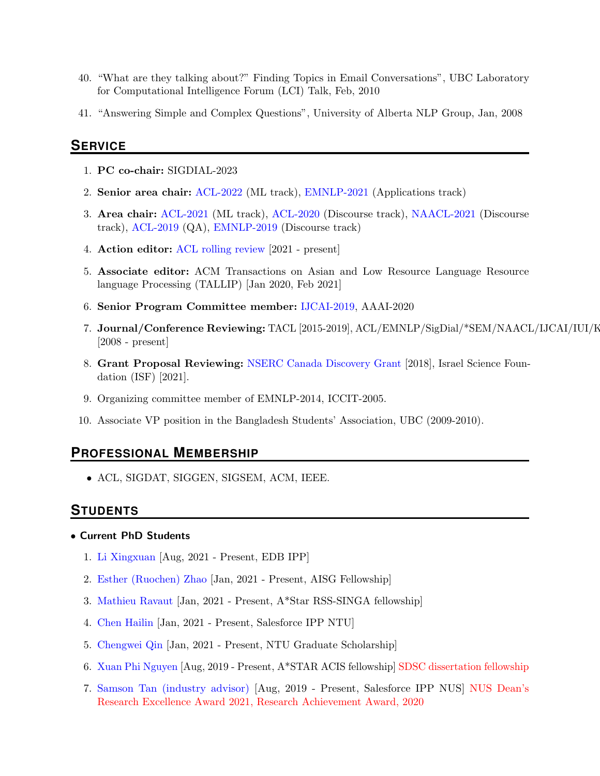- 40. "What are they talking about?" Finding Topics in Email Conversations", UBC Laboratory for Computational Intelligence Forum (LCI) Talk, Feb, 2010
- 41. "Answering Simple and Complex Questions", University of Alberta NLP Group, Jan, 2008

## **SERVICE**

- 1. PC co-chair: SIGDIAL-2023
- 2. Senior area chair: [ACL-2022](https://www.2022.aclweb.org/senior-area-chairs) (ML track), [EMNLP-2021](https://2021.emnlp.org/) (Applications track)
- 3. Area chair: [ACL-2021](https://2021.aclweb.org/) (ML track), [ACL-2020](https://acl2020.org/) (Discourse track), [NAACL-2021](https://2021.naacl.org/) (Discourse track), [ACL-2019](http://www.acl2019.org/EN/index.xhtml) (QA), [EMNLP-2019](https://www.emnlp-ijcnlp2019.org/pc) (Discourse track)
- 4. Action editor: [ACL rolling review](https://aclrollingreview.org/) [2021 present]
- 5. Associate editor: ACM Transactions on Asian and Low Resource Language Resource language Processing (TALLIP) [Jan 2020, Feb 2021]
- 6. Senior Program Committee member: [IJCAI-2019,](https://www.ijcai19.org/program-committee.html) AAAI-2020
- 7. Journal/Conference Reviewing: TACL [2015-2019], ACL/EMNLP/SigDial/\*SEM/NAACL/IJCAI/IUI/K [2008 - present]
- 8. Grant Proposal Reviewing: [NSERC Canada Discovery Grant](http://www.nserc-crsng.gc.ca/Professors-Professeurs/Grants-Subs/DGIGP-PSIGP_eng.asp) [2018], Israel Science Foundation (ISF) [2021].
- 9. Organizing committee member of EMNLP-2014, ICCIT-2005.
- 10. Associate VP position in the Bangladesh Students' Association, UBC (2009-2010).

## **PROFESSIONAL MEMBERSHIP**

• ACL, SIGDAT, SIGGEN, SIGSEM, ACM, IEEE.

#### **STUDENTS**

#### • Current PhD Students

- 1. [Li Xingxuan](https://xingxuanli.github.io/) [Aug, 2021 Present, EDB IPP]
- 2. [Esther \(Ruochen\) Zhao](https://www.linkedin.com/in/esther-ruochen-zhao-855357150/) [Jan, 2021 Present, AISG Fellowship]
- 3. [Mathieu Ravaut](https://www.linkedin.com/in/mathieuravaut/?originalSubdomain=ca) [Jan, 2021 Present, A\*Star RSS-SINGA fellowship]
- 4. [Chen Hailin](https://www.linkedin.com/in/chenhailin/?originalSubdomain=sg) [Jan, 2021 Present, Salesforce IPP NTU]
- 5. [Chengwei Qin](https://www.linkedin.com/in/chengwei-qin-3401a1107/) [Jan, 2021 Present, NTU Graduate Scholarship]
- 6. [Xuan Phi Nguyen](https://nxphi47.github.io/) [Aug, 2019 Present, A\*STAR ACIS fellowship] SDSC dissertation fellowship
- 7. [Samson Tan \(industry advisor\)](https://samsontmr.github.io/) [Aug, 2019 Present, Salesforce IPP NUS] NUS Dean's Research Excellence Award 2021, Research Achievement Award, 2020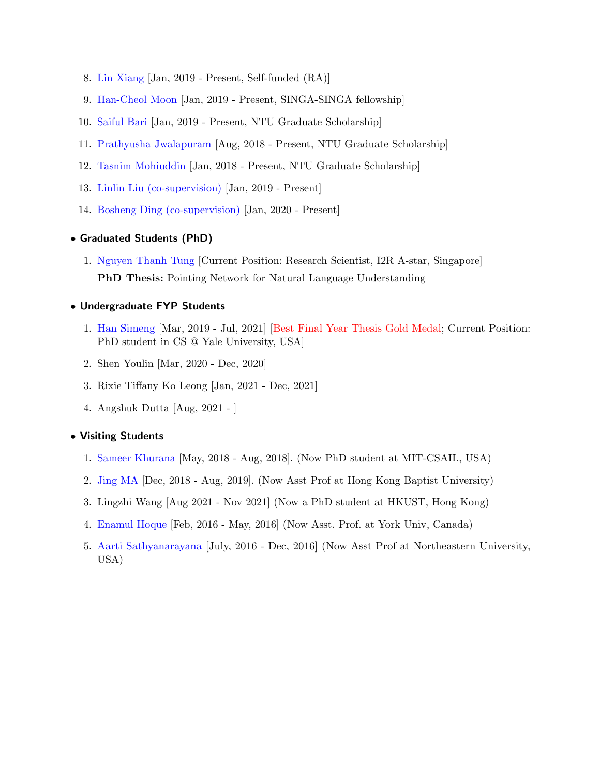- 8. [Lin Xiang](https://shawnlimn.github.io/) [Jan, 2019 Present, Self-funded (RA)]
- 9. [Han-Cheol Moon](https://han8931.github.io/about/) [Jan, 2019 Present, SINGA-SINGA fellowship]
- 10. [Saiful Bari](https://sbmaruf.github.io/) [Jan, 2019 Present, NTU Graduate Scholarship]
- 11. [Prathyusha Jwalapuram](https://pjwalapuram.com/) [Aug, 2018 Present, NTU Graduate Scholarship]
- 12. [Tasnim Mohiuddin](https://taasnim.github.io/) [Jan, 2018 Present, NTU Graduate Scholarship]
- 13. [Linlin Liu \(co-supervision\)](https://sg.linkedin.com/in/linlin-liu-26392846) [Jan, 2019 Present]
- 14. [Bosheng Ding \(co-supervision\)](https://www.linkedin.com/in/ding-bosheng-58b3b262/?originalSubdomain=sg) [Jan, 2020 Present]

#### • Graduated Students (PhD)

1. [Nguyen Thanh Tung](https://tungngthanh.github.io/) [Current Position: Research Scientist, I2R A-star, Singapore] PhD Thesis: Pointing Network for Natural Language Understanding

#### • Undergraduate FYP Students

- 1. [Han Simeng](https://shirleyhan6.github.io/) [Mar, 2019 Jul, 2021] [Best Final Year Thesis Gold Medal; Current Position: PhD student in CS @ Yale University, USA]
- 2. Shen Youlin [Mar, 2020 Dec, 2020]
- 3. Rixie Tiffany Ko Leong [Jan, 2021 Dec, 2021]
- 4. Angshuk Dutta [Aug, 2021 ]

#### • Visiting Students

- 1. [Sameer Khurana](http://people.csail.mit.edu/sameerk/) [May, 2018 Aug, 2018]. (Now PhD student at MIT-CSAIL, USA)
- 2. [Jing MA](https://majingcuhk.github.io/) [Dec, 2018 Aug, 2019]. (Now Asst Prof at Hong Kong Baptist University)
- 3. Lingzhi Wang [Aug 2021 Nov 2021] (Now a PhD student at HKUST, Hong Kong)
- 4. [Enamul Hoque](http://www.cs.ubc.ca/~enamul/index.html) [Feb, 2016 May, 2016] (Now Asst. Prof. at York Univ, Canada)
- 5. [Aarti Sathyanarayana](https://www.aartisathyanarayana.org/) [July, 2016 Dec, 2016] (Now Asst Prof at Northeastern University, USA)